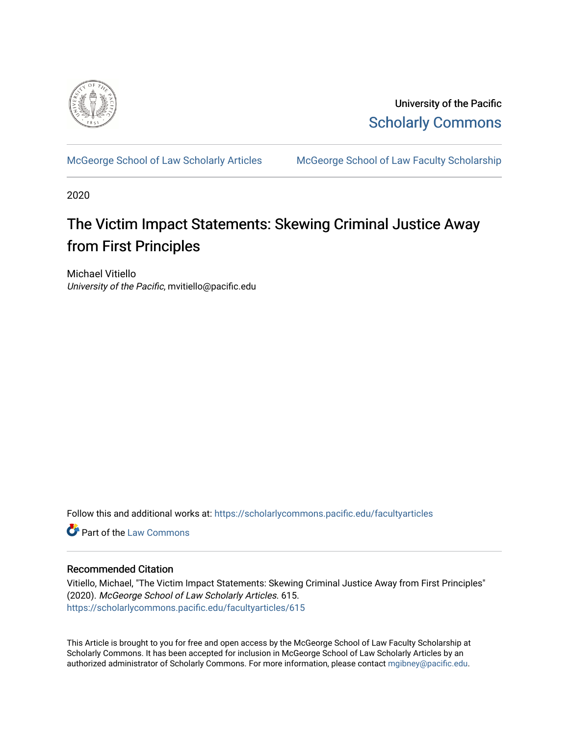

University of the Pacific [Scholarly Commons](https://scholarlycommons.pacific.edu/) 

[McGeorge School of Law Scholarly Articles](https://scholarlycommons.pacific.edu/facultyarticles) [McGeorge School of Law Faculty Scholarship](https://scholarlycommons.pacific.edu/facultyscholarship) 

2020

# The Victim Impact Statements: Skewing Criminal Justice Away from First Principles

Michael Vitiello University of the Pacific, mvitiello@pacific.edu

Follow this and additional works at: [https://scholarlycommons.pacific.edu/facultyarticles](https://scholarlycommons.pacific.edu/facultyarticles?utm_source=scholarlycommons.pacific.edu%2Ffacultyarticles%2F615&utm_medium=PDF&utm_campaign=PDFCoverPages)

**C** Part of the [Law Commons](https://network.bepress.com/hgg/discipline/578?utm_source=scholarlycommons.pacific.edu%2Ffacultyarticles%2F615&utm_medium=PDF&utm_campaign=PDFCoverPages)

## Recommended Citation

Vitiello, Michael, "The Victim Impact Statements: Skewing Criminal Justice Away from First Principles" (2020). McGeorge School of Law Scholarly Articles. 615. [https://scholarlycommons.pacific.edu/facultyarticles/615](https://scholarlycommons.pacific.edu/facultyarticles/615?utm_source=scholarlycommons.pacific.edu%2Ffacultyarticles%2F615&utm_medium=PDF&utm_campaign=PDFCoverPages)

This Article is brought to you for free and open access by the McGeorge School of Law Faculty Scholarship at Scholarly Commons. It has been accepted for inclusion in McGeorge School of Law Scholarly Articles by an authorized administrator of Scholarly Commons. For more information, please contact [mgibney@pacific.edu.](mailto:mgibney@pacific.edu)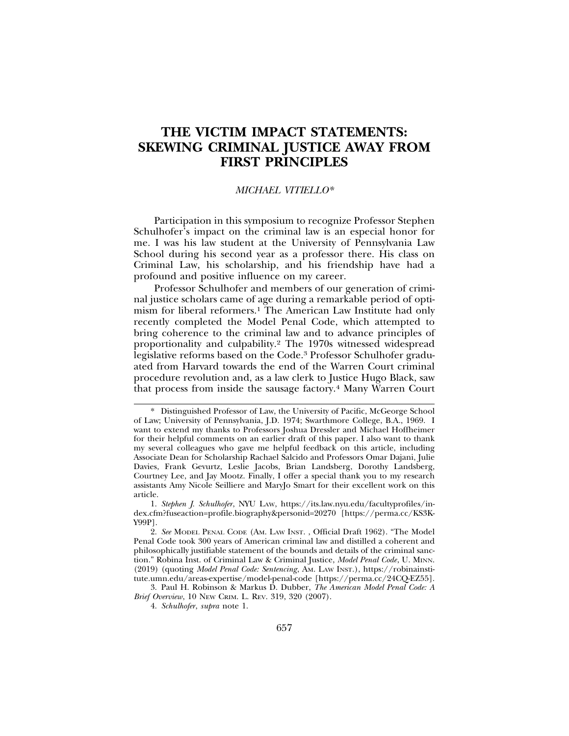## **THE VICTIM IMPACT STATEMENTS: SKEWING CRIMINAL JUSTICE AWAY FROM FIRST PRINCIPLES**

## *MICHAEL VITIELLO\**

Participation in this symposium to recognize Professor Stephen Schulhofer's impact on the criminal law is an especial honor for me. I was his law student at the University of Pennsylvania Law School during his second year as a professor there. His class on Criminal Law, his scholarship, and his friendship have had a profound and positive influence on my career.

Professor Schulhofer and members of our generation of criminal justice scholars came of age during a remarkable period of optimism for liberal reformers.1 The American Law Institute had only recently completed the Model Penal Code, which attempted to bring coherence to the criminal law and to advance principles of proportionality and culpability.2 The 1970s witnessed widespread legislative reforms based on the Code.3 Professor Schulhofer graduated from Harvard towards the end of the Warren Court criminal procedure revolution and, as a law clerk to Justice Hugo Black, saw that process from inside the sausage factory.4 Many Warren Court

<sup>\*</sup> Distinguished Professor of Law, the University of Pacific, McGeorge School of Law; University of Pennsylvania, J.D. 1974; Swarthmore College, B.A., 1969. I want to extend my thanks to Professors Joshua Dressler and Michael Hoffheimer for their helpful comments on an earlier draft of this paper. I also want to thank my several colleagues who gave me helpful feedback on this article, including Associate Dean for Scholarship Rachael Salcido and Professors Omar Dajani, Julie Davies, Frank Gevurtz, Leslie Jacobs, Brian Landsberg, Dorothy Landsberg, Courtney Lee, and Jay Mootz. Finally, I offer a special thank you to my research assistants Amy Nicole Seilliere and MaryJo Smart for their excellent work on this article.

<sup>1.</sup> *Stephen J. Schulhofer*, NYU LAW, https://its.law.nyu.edu/facultyprofiles/index.cfm?fuseaction=profile.biography&personid=20270 [https://perma.cc/KS3K-Y99P].

<sup>2.</sup> *See* MODEL PENAL CODE (AM. LAW INST. , Official Draft 1962). "The Model Penal Code took 300 years of American criminal law and distilled a coherent and philosophically justifiable statement of the bounds and details of the criminal sanction." Robina Inst. of Criminal Law & Criminal Justice, *Model Penal Code*, U. MINN. (2019) (quoting *Model Penal Code: Sentencing*, AM. LAW INST.), https://robinainstitute.umn.edu/areas-expertise/model-penal-code [https://perma.cc/24CQ-EZ55].

<sup>3.</sup> Paul H. Robinson & Markus D. Dubber, *The American Model Penal Code: A Brief Overview*, 10 NEW CRIM. L. REV. 319, 320 (2007).

<sup>4.</sup> *Schulhofer*, *supra* note 1.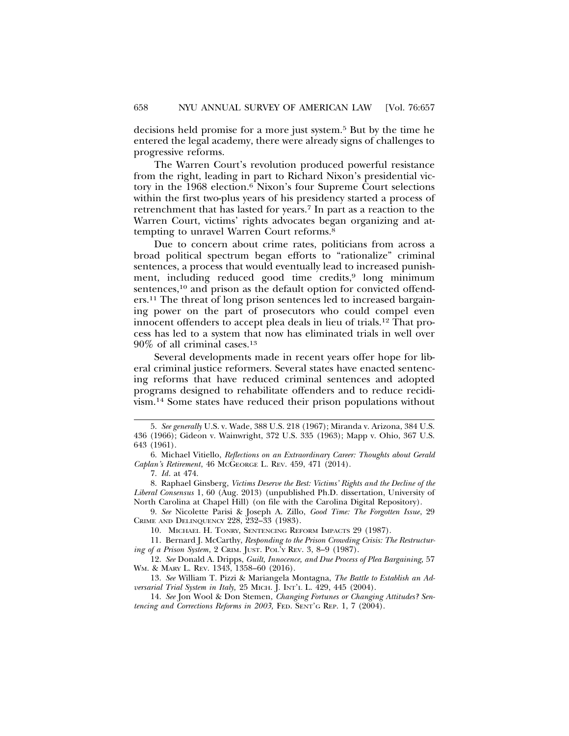decisions held promise for a more just system.5 But by the time he entered the legal academy, there were already signs of challenges to progressive reforms.

The Warren Court's revolution produced powerful resistance from the right, leading in part to Richard Nixon's presidential victory in the 1968 election.6 Nixon's four Supreme Court selections within the first two-plus years of his presidency started a process of retrenchment that has lasted for years.7 In part as a reaction to the Warren Court, victims' rights advocates began organizing and attempting to unravel Warren Court reforms.8

Due to concern about crime rates, politicians from across a broad political spectrum began efforts to "rationalize" criminal sentences, a process that would eventually lead to increased punishment, including reduced good time credits, $9 \text{ long minimum}$ sentences,<sup>10</sup> and prison as the default option for convicted offenders.11 The threat of long prison sentences led to increased bargaining power on the part of prosecutors who could compel even innocent offenders to accept plea deals in lieu of trials.12 That process has led to a system that now has eliminated trials in well over 90% of all criminal cases.13

Several developments made in recent years offer hope for liberal criminal justice reformers. Several states have enacted sentencing reforms that have reduced criminal sentences and adopted programs designed to rehabilitate offenders and to reduce recidivism.14 Some states have reduced their prison populations without

9. *See* Nicolette Parisi & Joseph A. Zillo, *Good Time: The Forgotten Issue*, 29 CRIME AND DELINQUENCY 228, 232–33 (1983).

10. MICHAEL H. TONRY, SENTENCING REFORM IMPACTS 29 (1987).

11. Bernard J. McCarthy, *Responding to the Prison Crowding Crisis: The Restructuring of a Prison System*, 2 CRIM. JUST. POL'Y REV. 3, 8–9 (1987).

12. *See* Donald A. Dripps, *Guilt, Innocence, and Due Process of Plea Bargaining,* 57 WM. & MARY L. REV. 1343, 1358–60 (2016).

13. *See* William T. Pizzi & Mariangela Montagna, *The Battle to Establish an Adversarial Trial System in Italy,* 25 MICH. J. INT'L L. 429, 445 (2004).

14. *See* Jon Wool & Don Stemen, *Changing Fortunes or Changing Attitudes? Sentencing and Corrections Reforms in 2003,* FED. SENT'G REP. 1, 7 (2004).

<sup>5.</sup> *See generally* U.S. v. Wade, 388 U.S. 218 (1967); Miranda v. Arizona, 384 U.S. 436 (1966); Gideon v. Wainwright, 372 U.S. 335 (1963); Mapp v. Ohio, 367 U.S. 643 (1961).

<sup>6.</sup> Michael Vitiello, *Reflections on an Extraordinary Career: Thoughts about Gerald Caplan's Retirement*, 46 MCGEORGE L. REV. 459, 471 (2014).

<sup>7.</sup> *Id*. at 474.

<sup>8.</sup> Raphael Ginsberg, *Victims Deserve the Best: Victims' Rights and the Decline of the Liberal Consensus* 1, 60 (Aug. 2013) (unpublished Ph.D. dissertation, University of North Carolina at Chapel Hill) (on file with the Carolina Digital Repository).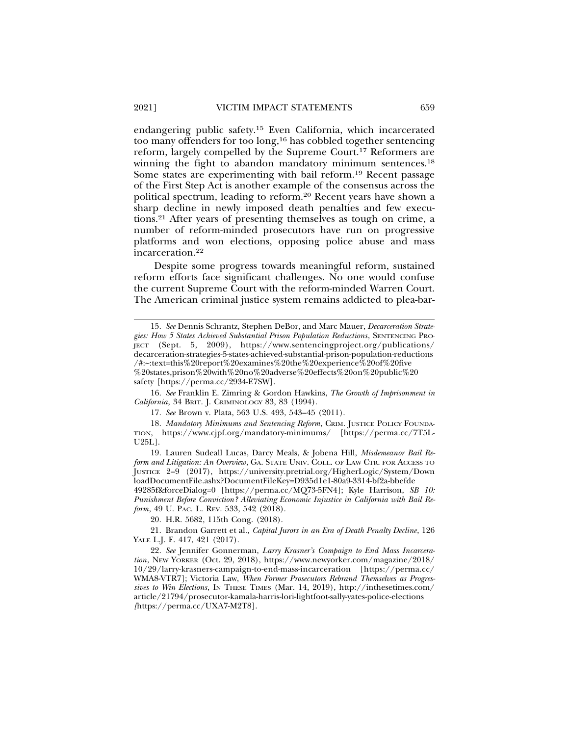endangering public safety.15 Even California, which incarcerated too many offenders for too long,16 has cobbled together sentencing reform, largely compelled by the Supreme Court.17 Reformers are winning the fight to abandon mandatory minimum sentences.18 Some states are experimenting with bail reform.19 Recent passage of the First Step Act is another example of the consensus across the political spectrum, leading to reform.20 Recent years have shown a sharp decline in newly imposed death penalties and few executions.21 After years of presenting themselves as tough on crime, a number of reform-minded prosecutors have run on progressive platforms and won elections, opposing police abuse and mass incarceration.22

Despite some progress towards meaningful reform, sustained reform efforts face significant challenges. No one would confuse the current Supreme Court with the reform-minded Warren Court. The American criminal justice system remains addicted to plea-bar-

16. *See* Franklin E. Zimring & Gordon Hawkins, *The Growth of Imprisonment in California*, 34 BRIT. J. CRIMINOLOGY 83, 83 (1994).

17. *See* Brown v. Plata, 563 U.S. 493, 543–45 (2011).

18. *Mandatory Minimums and Sentencing Reform*, CRIM. JUSTICE POLICY FOUNDA-TION, https://www.cjpf.org/mandatory-minimums/ [https://perma.cc/7T5L-U25L].

19. Lauren Sudeall Lucas, Darcy Meals, & Jobena Hill, *Misdemeanor Bail Reform and Litigation: An Overview*, GA. STATE UNIV. COLL. OF LAW CTR. FOR ACCESS TO JUSTICE 2–9 (2017), https://university.pretrial.org/HigherLogic/System/Down loadDocumentFile.ashx?DocumentFileKey=D935d1e1-80a9-3314-bf2a-bbefde

49285f&forceDialog=0 [https://perma.cc/MQ73-5FN4]; Kyle Harrison, *SB 10: Punishment Before Conviction? Alleviating Economic Injustice in California with Bail Reform*, 49 U. PAC. L. REV. 533, 542 (2018).

20. H.R. 5682, 115th Cong. (2018).

21. Brandon Garrett et al., *Capital Jurors in an Era of Death Penalty Decline*, 126 YALE L.J. F. 417, 421 (2017).

22. *See* Jennifer Gonnerman, *Larry Krasner's Campaign to End Mass Incarceration*, NEW YORKER (Oct. 29, 2018), https://www.newyorker.com/magazine/2018/ 10/29/larry-krasners-campaign-to-end-mass-incarceration [https://perma.cc/ WMA8-VTR7]; Victoria Law, *When Former Prosecutors Rebrand Themselves as Progressives to Win Elections*, IN THESE TIMES (Mar. 14, 2019), http://inthesetimes.com/ article/21794/prosecutor-kamala-harris-lori-lightfoot-sally-yates-police-elections *[*https://perma.cc/UXA7-M2T8].

<sup>15.</sup> *See* Dennis Schrantz, Stephen DeBor, and Marc Mauer, *Decarceration Strategies: How 5 States Achieved Substantial Prison Population Reductions*, SENTENCING PRO-JECT (Sept. 5, 2009), https://www.sentencingproject.org/publications/ decarceration-strategies-5-states-achieved-substantial-prison-population-reductions /#:~:text=this%20report%20examines%20the%20experience%20of%20five %20states,prison%20with%20no%20adverse%20effects%20on%20public%20 safety [https://perma.cc/2934-E7SW].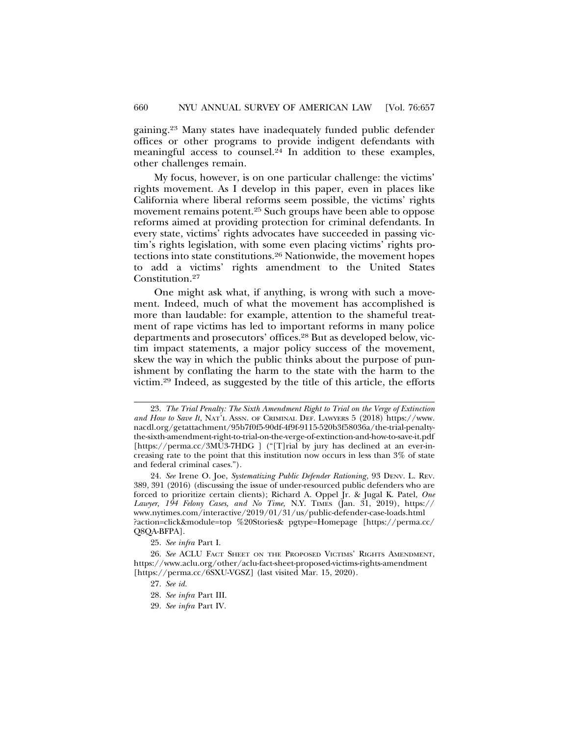gaining.23 Many states have inadequately funded public defender offices or other programs to provide indigent defendants with meaningful access to counsel.<sup>24</sup> In addition to these examples, other challenges remain.

My focus, however, is on one particular challenge: the victims' rights movement. As I develop in this paper, even in places like California where liberal reforms seem possible, the victims' rights movement remains potent.25 Such groups have been able to oppose reforms aimed at providing protection for criminal defendants. In every state, victims' rights advocates have succeeded in passing victim's rights legislation, with some even placing victims' rights protections into state constitutions.26 Nationwide, the movement hopes to add a victims' rights amendment to the United States Constitution.27

One might ask what, if anything, is wrong with such a movement. Indeed, much of what the movement has accomplished is more than laudable: for example, attention to the shameful treatment of rape victims has led to important reforms in many police departments and prosecutors' offices.28 But as developed below, victim impact statements, a major policy success of the movement, skew the way in which the public thinks about the purpose of punishment by conflating the harm to the state with the harm to the victim.29 Indeed, as suggested by the title of this article, the efforts

- 27. *See id.*
- 28. *See infra* Part III.
- 29. *See infra* Part IV.

<sup>23.</sup> *The Trial Penalty: The Sixth Amendment Right to Trial on the Verge of Extinction and How to Save It*, NAT'L ASSN. OF CRIMINAL DEF. LAWYERS 5 (2018) https://www. nacdl.org/getattachment/95b7f0f5-90df-4f9f-9115-520b3f58036a/the-trial-penaltythe-sixth-amendment-right-to-trial-on-the-verge-of-extinction-and-how-to-save-it.pdf [https://perma.cc/3MU3-7HDG ] ("[T]rial by jury has declined at an ever-increasing rate to the point that this institution now occurs in less than 3% of state and federal criminal cases.").

<sup>24.</sup> *See* Irene O. Joe, *Systematizing Public Defender Rationing*, 93 DENV. L. REV. 389, 391 (2016) (discussing the issue of under-resourced public defenders who are forced to prioritize certain clients); Richard A. Oppel Jr. & Jugal K. Patel, *One Lawyer, 194 Felony Cases, and No Time,* N.Y. TIMES (Jan. 31, 2019), https:// www.nytimes.com/interactive/2019/01/31/us/public-defender-case-loads.html ?action=click&module=top %20Stories& pgtype=Homepage [https://perma.cc/ Q8QA-BFPA].

<sup>25.</sup> *See infra* Part I.

<sup>26.</sup> *See* ACLU FACT SHEET ON THE PROPOSED VICTIMS' RIGHTS AMENDMENT, https://www.aclu.org/other/aclu-fact-sheet-proposed-victims-rights-amendment [https://perma.cc/6SXU-VGSZ] (last visited Mar. 15, 2020).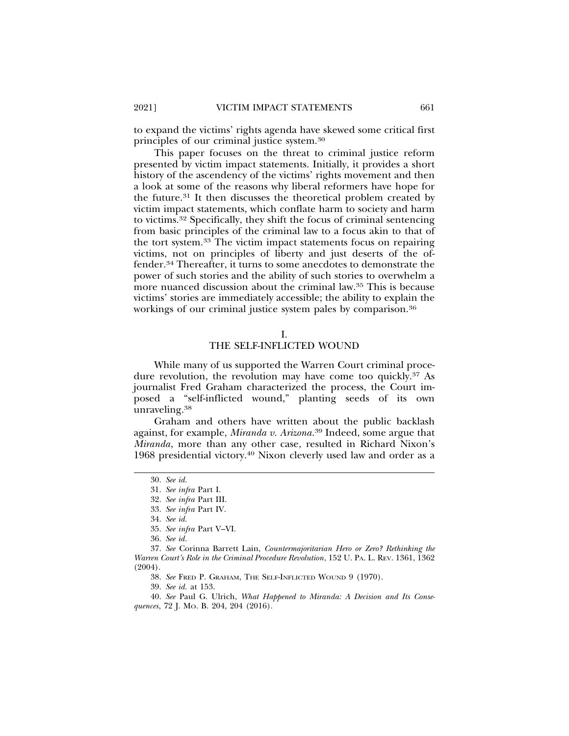to expand the victims' rights agenda have skewed some critical first principles of our criminal justice system.30

This paper focuses on the threat to criminal justice reform presented by victim impact statements. Initially, it provides a short history of the ascendency of the victims' rights movement and then a look at some of the reasons why liberal reformers have hope for the future.31 It then discusses the theoretical problem created by victim impact statements, which conflate harm to society and harm to victims.32 Specifically, they shift the focus of criminal sentencing from basic principles of the criminal law to a focus akin to that of the tort system.33 The victim impact statements focus on repairing victims, not on principles of liberty and just deserts of the offender.34 Thereafter, it turns to some anecdotes to demonstrate the power of such stories and the ability of such stories to overwhelm a more nuanced discussion about the criminal law.35 This is because victims' stories are immediately accessible; the ability to explain the workings of our criminal justice system pales by comparison.<sup>36</sup>

#### I.

#### THE SELF-INFLICTED WOUND

While many of us supported the Warren Court criminal procedure revolution, the revolution may have come too quickly.<sup>37</sup> As journalist Fred Graham characterized the process, the Court imposed a "self-inflicted wound," planting seeds of its own unraveling.38

Graham and others have written about the public backlash against, for example, *Miranda v. Arizona*. 39 Indeed, some argue that *Miranda*, more than any other case, resulted in Richard Nixon's 1968 presidential victory.40 Nixon cleverly used law and order as a

<sup>30.</sup> *See id.*

<sup>31.</sup> *See infra* Part I.

<sup>32.</sup> *See infra* Part III.

<sup>33.</sup> *See infra* Part IV.

<sup>34.</sup> *See id.*

<sup>35.</sup> *See infra* Part V–VI.

<sup>36.</sup> *See id.*

<sup>37.</sup> *See* Corinna Barrett Lain, *Countermajoritarian Hero or Zero? Rethinking the Warren Court's Role in the Criminal Procedure Revolution*, 152 U. PA. L. REV. 1361, 1362 (2004).

<sup>38.</sup> *See* FRED P. GRAHAM, THE SELF-INFLICTED WOUND 9 (1970).

<sup>39.</sup> *See id.* at 153.

<sup>40.</sup> *See* Paul G. Ulrich, *What Happened to Miranda: A Decision and Its Consequences*, 72 J. MO. B. 204, 204 (2016).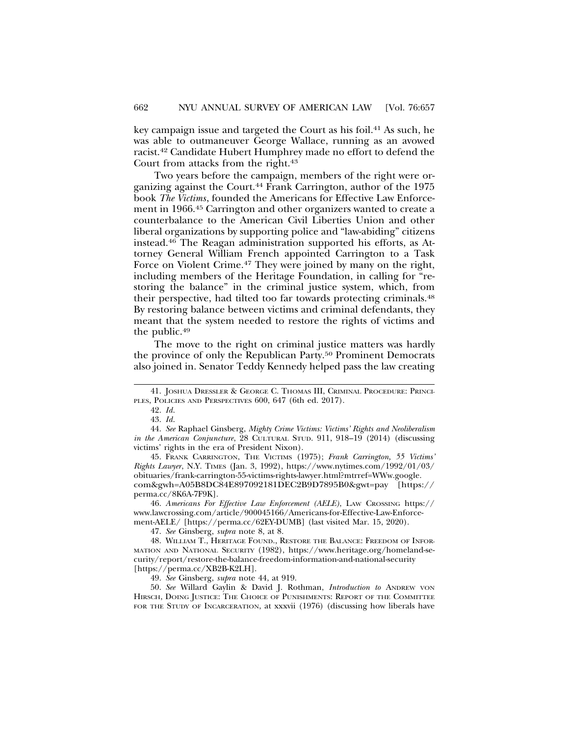key campaign issue and targeted the Court as his foil.41 As such, he was able to outmaneuver George Wallace, running as an avowed racist.42 Candidate Hubert Humphrey made no effort to defend the Court from attacks from the right.<sup>43</sup>

Two years before the campaign, members of the right were organizing against the Court.<sup>44</sup> Frank Carrington, author of the 1975 book *The Victims*, founded the Americans for Effective Law Enforcement in 1966.45 Carrington and other organizers wanted to create a counterbalance to the American Civil Liberties Union and other liberal organizations by supporting police and "law-abiding" citizens instead.46 The Reagan administration supported his efforts, as Attorney General William French appointed Carrington to a Task Force on Violent Crime.<sup>47</sup> They were joined by many on the right, including members of the Heritage Foundation, in calling for "restoring the balance" in the criminal justice system, which, from their perspective, had tilted too far towards protecting criminals.48 By restoring balance between victims and criminal defendants, they meant that the system needed to restore the rights of victims and the public.49

The move to the right on criminal justice matters was hardly the province of only the Republican Party.50 Prominent Democrats also joined in. Senator Teddy Kennedy helped pass the law creating

44. *See* Raphael Ginsberg, *Mighty Crime Victims: Victims' Rights and Neoliberalism in the American Conjuncture*, 28 CULTURAL STUD. 911, 918–19 (2014) (discussing victims' rights in the era of President Nixon).

45. FRANK CARRINGTON, THE VICTIMS (1975); *Frank Carrington, 55 Victims' Rights Lawyer*, N.Y. TIMES (Jan. 3, 1992), https://www.nytimes.com/1992/01/03/ obituaries/frank-carrington-55-victims-rights-lawyer.html?mtrref=WWw.google. com&gwh=A05B8DC84E897092181DEC2B9D7895B0&gwt=pay [https:// perma.cc/8K6A-7F9K].

46. *Americans For Effective Law Enforcement (AELE)*, LAW CROSSING https:// www.lawcrossing.com/article/900045166/Americans-for-Effective-Law-Enforcement-AELE/ [https://perma.cc/62EY-DUMB] (last visited Mar. 15, 2020).

47. *See* Ginsberg, *supra* note 8, at 8.

48. WILLIAM T., HERITAGE FOUND., RESTORE THE BALANCE: FREEDOM OF INFOR-MATION AND NATIONAL SECURITY (1982), https://www.heritage.org/homeland-security/report/restore-the-balance-freedom-information-and-national-security [https://perma.cc/XB2B-K2LH].

49. *See* Ginsberg, *supra* note 44, at 919.

50. *See* Willard Gaylin & David J. Rothman, *Introduction to* ANDREW VON HIRSCH, DOING JUSTICE: THE CHOICE OF PUNISHMENTS: REPORT OF THE COMMITTEE FOR THE STUDY OF INCARCERATION, at xxxvii (1976) (discussing how liberals have

<sup>41.</sup> JOSHUA DRESSLER & GEORGE C. THOMAS III, CRIMINAL PROCEDURE: PRINCI-PLES, POLICIES AND PERSPECTIVES 600, 647 (6th ed. 2017).

<sup>42.</sup> *Id*.

<sup>43.</sup> *Id*.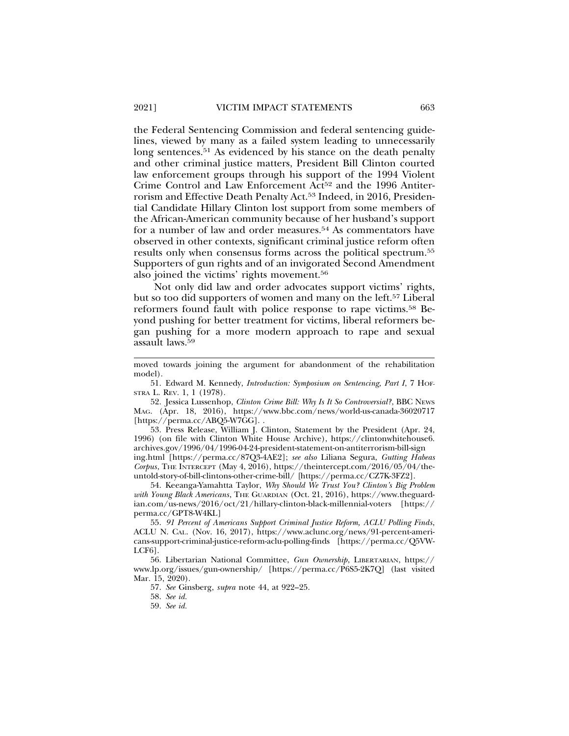the Federal Sentencing Commission and federal sentencing guidelines, viewed by many as a failed system leading to unnecessarily long sentences.<sup>51</sup> As evidenced by his stance on the death penalty and other criminal justice matters, President Bill Clinton courted law enforcement groups through his support of the 1994 Violent Crime Control and Law Enforcement Act<sup>52</sup> and the 1996 Antiterrorism and Effective Death Penalty Act.53 Indeed, in 2016, Presidential Candidate Hillary Clinton lost support from some members of the African-American community because of her husband's support for a number of law and order measures.54 As commentators have observed in other contexts, significant criminal justice reform often results only when consensus forms across the political spectrum.55 Supporters of gun rights and of an invigorated Second Amendment also joined the victims' rights movement.56

Not only did law and order advocates support victims' rights, but so too did supporters of women and many on the left.57 Liberal reformers found fault with police response to rape victims.58 Beyond pushing for better treatment for victims, liberal reformers began pushing for a more modern approach to rape and sexual assault laws.59

52. Jessica Lussenhop, *Clinton Crime Bill: Why Is It So Controversial?*, BBC NEWS MAG. (Apr. 18, 2016), https://www.bbc.com/news/world-us-canada-36020717 [https://perma.cc/ABQ5-W7GG]. .

53. Press Release, William J. Clinton, Statement by the President (Apr. 24, 1996) (on file with Clinton White House Archive), https://clintonwhitehouse6. archives.gov/1996/04/1996-04-24-president-statement-on-antiterrorism-bill-sign ing.html [https://perma.cc/87Q3-4AE2]; *see also* Liliana Segura, *Gutting Habeas Corpus*, THE INTERCEPT (May 4, 2016), https://theintercept.com/2016/05/04/theuntold-story-of-bill-clintons-other-crime-bill/ [https://perma.cc/CZ7K-3FZ2].

54. Keeanga-Yamahtta Taylor, *Why Should We Trust You? Clinton's Big Problem with Young Black Americans*, THE GUARDIAN (Oct. 21, 2016), https://www.theguardian.com/us-news/2016/oct/21/hillary-clinton-black-millennial-voters [https:// perma.cc/GPT8-W4KL]

55. *91 Percent of Americans Support Criminal Justice Reform, ACLU Polling Finds*, ACLU N. CAL. (Nov. 16, 2017), https://www.aclunc.org/news/91-percent-americans-support-criminal-justice-reform-aclu-polling-finds [https://perma.cc/Q5VW-LCF6].

56. Libertarian National Committee, *Gun Ownership*, LIBERTARIAN, https:// www.lp.org/issues/gun-ownership/ [https://perma.cc/P6S5-2K7Q] (last visited Mar. 15, 2020).

57. *See* Ginsberg, *supra* note 44, at 922–25.

58. *See id.*

59. *See id.*

moved towards joining the argument for abandonment of the rehabilitation model).

<sup>51.</sup> Edward M. Kennedy, *Introduction: Symposium on Sentencing, Part I*, 7 HOF-STRA L. REV. 1, 1 (1978).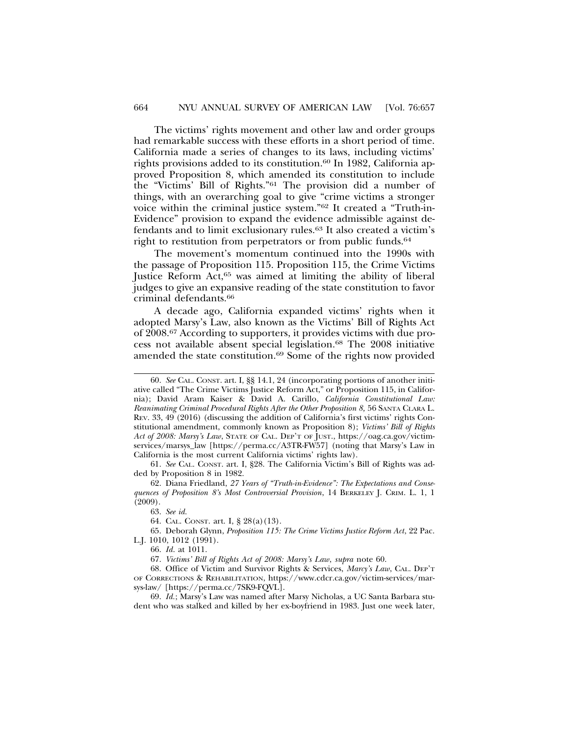The victims' rights movement and other law and order groups had remarkable success with these efforts in a short period of time. California made a series of changes to its laws, including victims' rights provisions added to its constitution.<sup>60</sup> In 1982, California approved Proposition 8, which amended its constitution to include the "Victims' Bill of Rights."61 The provision did a number of things, with an overarching goal to give "crime victims a stronger voice within the criminal justice system."62 It created a "Truth-in-Evidence" provision to expand the evidence admissible against defendants and to limit exclusionary rules.63 It also created a victim's right to restitution from perpetrators or from public funds.<sup>64</sup>

The movement's momentum continued into the 1990s with the passage of Proposition 115. Proposition 115, the Crime Victims Justice Reform Act,<sup>65</sup> was aimed at limiting the ability of liberal judges to give an expansive reading of the state constitution to favor criminal defendants.66

A decade ago, California expanded victims' rights when it adopted Marsy's Law, also known as the Victims' Bill of Rights Act of 2008.67 According to supporters, it provides victims with due process not available absent special legislation.68 The 2008 initiative amended the state constitution.69 Some of the rights now provided

<sup>60.</sup> *See* CAL. CONST. art. I, §§ 14.1, 24 (incorporating portions of another initiative called "The Crime Victims Justice Reform Act," or Proposition 115, in California); David Aram Kaiser & David A. Carillo, *California Constitutional Law: Reanimating Criminal Procedural Rights After the Other Proposition 8,* 56 SANTA CLARA L. REV. 33, 49 (2016) (discussing the addition of California's first victims' rights Constitutional amendment, commonly known as Proposition 8); *Victims' Bill of Rights Act of 2008: Marsy's Law*, STATE OF CAL. DEP'T OF JUST., https://oag.ca.gov/victimservices/marsys\_law [https://perma.cc/A3TR-FW57] (noting that Marsy's Law in California is the most current California victims' rights law).

<sup>61.</sup> *See* CAL. CONST. art. I, §28. The California Victim's Bill of Rights was added by Proposition 8 in 1982.

<sup>62.</sup> Diana Friedland, *27 Years of "Truth-in-Evidence": The Expectations and Consequences of Proposition 8's Most Controversial Provision*, 14 BERKELEY J. CRIM. L. 1, 1 (2009).

<sup>63.</sup> *See id.*

<sup>64.</sup> CAL. CONST. art. I, § 28(a)(13).

<sup>65.</sup> Deborah Glynn, *Proposition 115: The Crime Victims Justice Reform Act*, 22 Pac. L.J. 1010, 1012 (1991).

<sup>66.</sup> *Id*. at 1011.

<sup>67.</sup> *Victims' Bill of Rights Act of 2008: Marsy's Law*, *supra* note 60.

<sup>68.</sup> Office of Victim and Survivor Rights & Services, *Marcy's Law*, CAL. DEP'T OF CORRECTIONS & REHABILITATION, https://www.cdcr.ca.gov/victim-services/marsys-law/ [https://perma.cc/7SK9-FQVL].

<sup>69.</sup> *Id.*; Marsy's Law was named after Marsy Nicholas, a UC Santa Barbara student who was stalked and killed by her ex-boyfriend in 1983. Just one week later,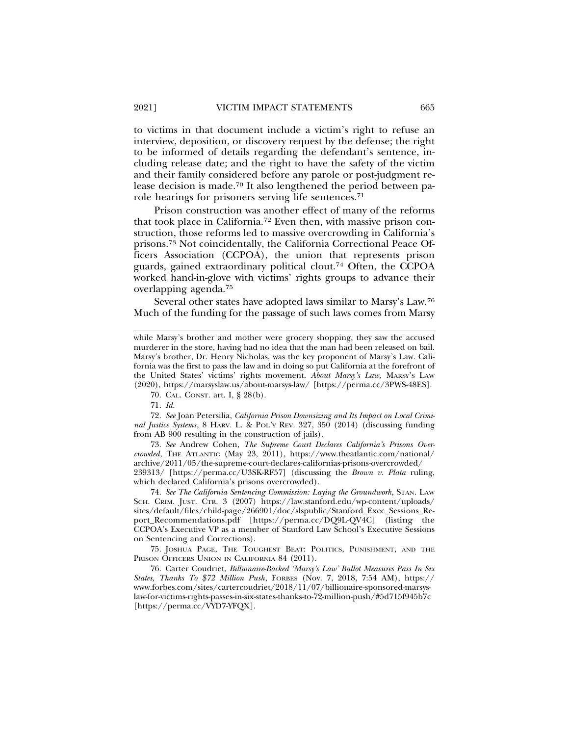to victims in that document include a victim's right to refuse an interview, deposition, or discovery request by the defense; the right to be informed of details regarding the defendant's sentence, including release date; and the right to have the safety of the victim and their family considered before any parole or post-judgment release decision is made.70 It also lengthened the period between parole hearings for prisoners serving life sentences.71

Prison construction was another effect of many of the reforms that took place in California.72 Even then, with massive prison construction, those reforms led to massive overcrowding in California's prisons.73 Not coincidentally, the California Correctional Peace Officers Association (CCPOA), the union that represents prison guards, gained extraordinary political clout.74 Often, the CCPOA worked hand-in-glove with victims' rights groups to advance their overlapping agenda.75

Several other states have adopted laws similar to Marsy's Law.76 Much of the funding for the passage of such laws comes from Marsy

72. *See* Joan Petersilia, *California Prison Downsizing and Its Impact on Local Criminal Justice Systems*, 8 HARV. L. & POL'Y REV. 327, 350 (2014) (discussing funding from AB 900 resulting in the construction of jails).

73. *See* Andrew Cohen, *The Supreme Court Declares California's Prisons Overcrowded*, THE ATLANTIC (May 23, 2011), https://www.theatlantic.com/national/ archive/2011/05/the-supreme-court-declares-californias-prisons-overcrowded/ 239313/ [https://perma.cc/U3SK-RF57] (discussing the *Brown v. Plata* ruling, which declared California's prisons overcrowded).

74. *See The California Sentencing Commission: Laying the Groundwork*, STAN. LAW SCH. CRIM. JUST. CTR. 3 (2007) https://law.stanford.edu/wp-content/uploads/ sites/default/files/child-page/266901/doc/slspublic/Stanford\_Exec\_Sessions\_Report\_Recommendations.pdf [https://perma.cc/DQ9L-QV4C] (listing the CCPOA's Executive VP as a member of Stanford Law School's Executive Sessions on Sentencing and Corrections).

75. JOSHUA PAGE, THE TOUGHEST BEAT: POLITICS, PUNISHMENT, AND THE PRISON OFFICERS UNION IN CALIFORNIA 84 (2011).

76. Carter Coudriet, *Billionaire-Backed 'Marsy's Law' Ballot Measures Pass In Six States, Thanks To \$72 Million Push*, FORBES (Nov. 7, 2018, 7:54 AM), https:// www.forbes.com/sites/cartercoudriet/2018/11/07/billionaire-sponsored-marsyslaw-for-victims-rights-passes-in-six-states-thanks-to-72-million-push/#5d715f945b7c [https://perma.cc/VYD7-YFQX].

while Marsy's brother and mother were grocery shopping, they saw the accused murderer in the store, having had no idea that the man had been released on bail. Marsy's brother, Dr. Henry Nicholas, was the key proponent of Marsy's Law. California was the first to pass the law and in doing so put California at the forefront of the United States' victims' rights movement. *About Marsy's Law,* MARSY'S LAW (2020), https://marsyslaw.us/about-marsys-law/ [https://perma.cc/3PWS-48ES].

<sup>70.</sup> CAL. CONST. art. I, § 28(b).

<sup>71.</sup> *Id.*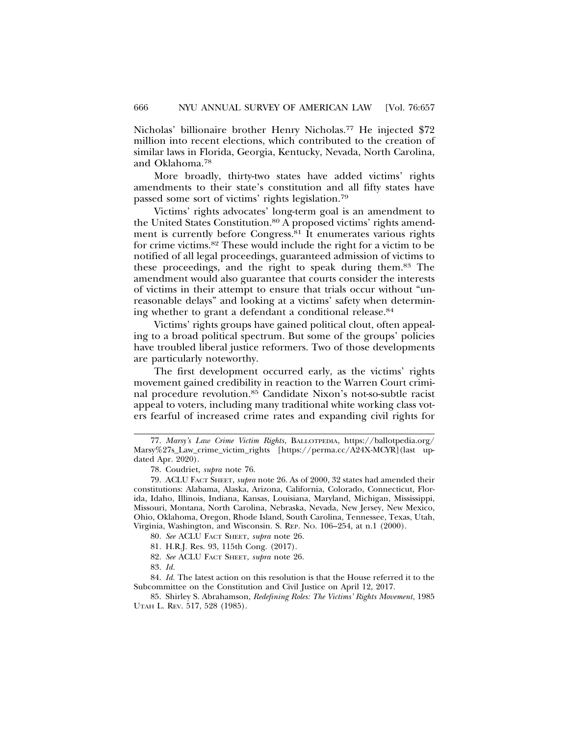Nicholas' billionaire brother Henry Nicholas.<sup>77</sup> He injected \$72 million into recent elections, which contributed to the creation of similar laws in Florida, Georgia, Kentucky, Nevada, North Carolina, and Oklahoma.78

More broadly, thirty-two states have added victims' rights amendments to their state's constitution and all fifty states have passed some sort of victims' rights legislation.79

Victims' rights advocates' long-term goal is an amendment to the United States Constitution.<sup>80</sup> A proposed victims' rights amendment is currently before Congress.<sup>81</sup> It enumerates various rights for crime victims.82 These would include the right for a victim to be notified of all legal proceedings, guaranteed admission of victims to these proceedings, and the right to speak during them.83 The amendment would also guarantee that courts consider the interests of victims in their attempt to ensure that trials occur without "unreasonable delays" and looking at a victims' safety when determining whether to grant a defendant a conditional release.84

Victims' rights groups have gained political clout, often appealing to a broad political spectrum. But some of the groups' policies have troubled liberal justice reformers. Two of those developments are particularly noteworthy.

The first development occurred early, as the victims' rights movement gained credibility in reaction to the Warren Court criminal procedure revolution.85 Candidate Nixon's not-so-subtle racist appeal to voters, including many traditional white working class voters fearful of increased crime rates and expanding civil rights for

<sup>77.</sup> *Marsy's Law Crime Victim Rights*, BALLOTPEDIA, https://ballotpedia.org/ Marsy%27s\_Law\_crime\_victim\_rights [https://perma.cc/A24X-MCYR](last updated Apr. 2020).

<sup>78.</sup> Coudriet, *supra* note 76.

<sup>79.</sup> ACLU FACT SHEET, *supra* note 26. As of 2000, 32 states had amended their constitutions: Alabama, Alaska, Arizona, California, Colorado, Connecticut, Florida, Idaho, Illinois, Indiana, Kansas, Louisiana, Maryland, Michigan, Mississippi, Missouri, Montana, North Carolina, Nebraska, Nevada, New Jersey, New Mexico, Ohio, Oklahoma, Oregon, Rhode Island, South Carolina, Tennessee, Texas, Utah, Virginia, Washington, and Wisconsin. S. REP. NO. 106–254, at n.1 (2000).

<sup>80.</sup> *See* ACLU FACT SHEET, *supra* note 26.

<sup>81.</sup> H.R.J. Res. 93, 115th Cong. (2017).

<sup>82.</sup> *See* ACLU FACT SHEET, *supra* note 26.

<sup>83.</sup> *Id*.

<sup>84.</sup> *Id.* The latest action on this resolution is that the House referred it to the Subcommittee on the Constitution and Civil Justice on April 12, 2017.

<sup>85.</sup> Shirley S. Abrahamson, *Redefining Roles: The Victims' Rights Movement*, 1985 UTAH L. REV. 517, 528 (1985).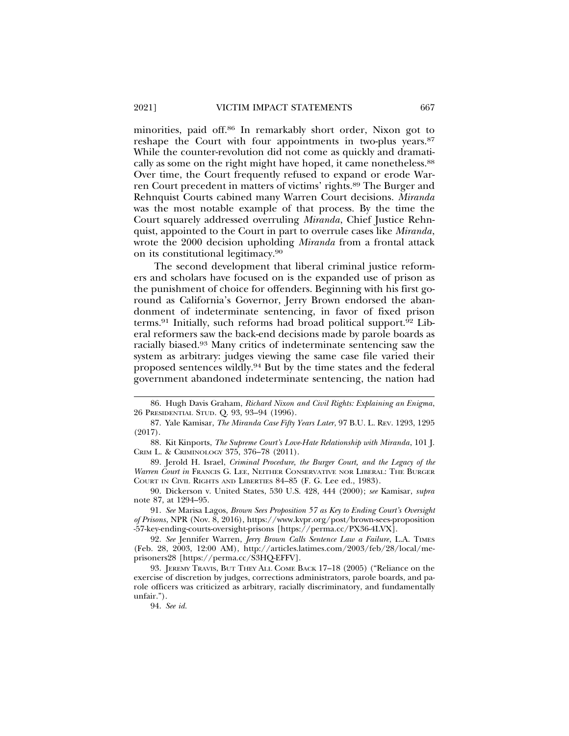minorities, paid off.86 In remarkably short order, Nixon got to reshape the Court with four appointments in two-plus years.<sup>87</sup> While the counter-revolution did not come as quickly and dramatically as some on the right might have hoped, it came nonetheless.<sup>88</sup> Over time, the Court frequently refused to expand or erode Warren Court precedent in matters of victims' rights.89 The Burger and Rehnquist Courts cabined many Warren Court decisions. *Miranda* was the most notable example of that process. By the time the Court squarely addressed overruling *Miranda*, Chief Justice Rehnquist, appointed to the Court in part to overrule cases like *Miranda*, wrote the 2000 decision upholding *Miranda* from a frontal attack on its constitutional legitimacy.90

The second development that liberal criminal justice reformers and scholars have focused on is the expanded use of prison as the punishment of choice for offenders. Beginning with his first goround as California's Governor, Jerry Brown endorsed the abandonment of indeterminate sentencing, in favor of fixed prison terms.91 Initially, such reforms had broad political support.92 Liberal reformers saw the back-end decisions made by parole boards as racially biased.93 Many critics of indeterminate sentencing saw the system as arbitrary: judges viewing the same case file varied their proposed sentences wildly.94 But by the time states and the federal government abandoned indeterminate sentencing, the nation had

87. Yale Kamisar, *The Miranda Case Fifty Years Later*, 97 B.U. L. REV. 1293, 1295 (2017).

88. Kit Kinports, *The Supreme Court's Love-Hate Relationship with Miranda*, 101 J. CRIM L. & CRIMINOLOGY 375, 376–78 (2011).

89. Jerold H. Israel, *Criminal Procedure, the Burger Court, and the Legacy of the Warren Court in* FRANCIS G. LEE, NEITHER CONSERVATIVE NOR LIBERAL: THE BURGER COURT IN CIVIL RIGHTS AND LIBERTIES 84–85 (F. G. Lee ed., 1983).

90. Dickerson v. United States, 530 U.S. 428, 444 (2000); *see* Kamisar, *supra* note 87, at 1294–95.

91. *See* Marisa Lagos, *Brown Sees Proposition 57 as Key to Ending Court's Oversight of Prisons*, NPR (Nov. 8, 2016), https://www.kvpr.org/post/brown-sees-proposition -57-key-ending-courts-oversight-prisons [https://perma.cc/PX36-4LVX].

92. *See* Jennifer Warren, *Jerry Brown Calls Sentence Law a Failure*, L.A. TIMES (Feb. 28, 2003, 12:00 AM), http://articles.latimes.com/2003/feb/28/local/meprisoners28 [https://perma.cc/S3HQ-EFFV].

93. JEREMY TRAVIS, BUT THEY ALL COME BACK 17–18 (2005) ("Reliance on the exercise of discretion by judges, corrections administrators, parole boards, and parole officers was criticized as arbitrary, racially discriminatory, and fundamentally unfair.").

94. *See id.* 

<sup>86.</sup> Hugh Davis Graham, *Richard Nixon and Civil Rights: Explaining an Enigma*, 26 PRESIDENTIAL STUD. Q. 93, 93–94 (1996).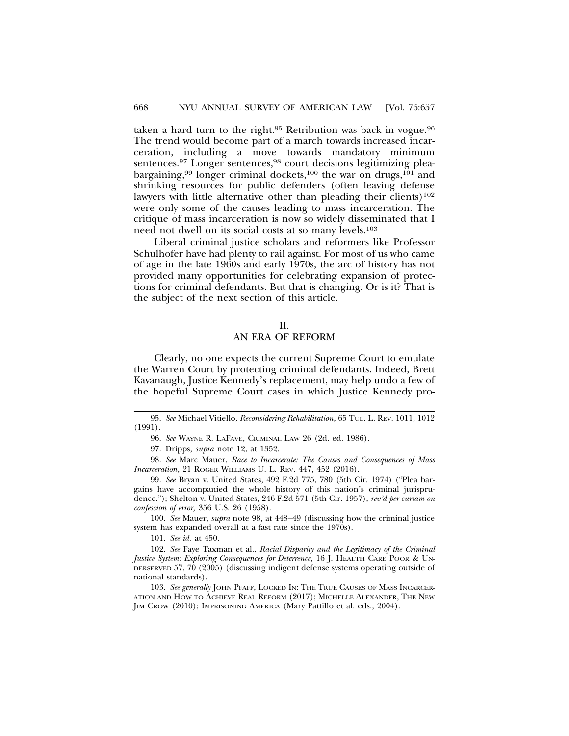taken a hard turn to the right.95 Retribution was back in vogue.96 The trend would become part of a march towards increased incarceration, including a move towards mandatory minimum sentences.<sup>97</sup> Longer sentences,<sup>98</sup> court decisions legitimizing pleabargaining,<sup>99</sup> longer criminal dockets,<sup>100</sup> the war on drugs,<sup>101</sup> and shrinking resources for public defenders (often leaving defense lawyers with little alternative other than pleading their clients)<sup>102</sup> were only some of the causes leading to mass incarceration. The critique of mass incarceration is now so widely disseminated that I need not dwell on its social costs at so many levels.103

Liberal criminal justice scholars and reformers like Professor Schulhofer have had plenty to rail against. For most of us who came of age in the late 1960s and early 1970s, the arc of history has not provided many opportunities for celebrating expansion of protections for criminal defendants. But that is changing. Or is it? That is the subject of the next section of this article.

#### II.

## AN ERA OF REFORM

Clearly, no one expects the current Supreme Court to emulate the Warren Court by protecting criminal defendants. Indeed, Brett Kavanaugh, Justice Kennedy's replacement, may help undo a few of the hopeful Supreme Court cases in which Justice Kennedy pro-

97. Dripps, *supra* note 12, at 1352.

98. *See* Marc Mauer, *Race to Incarcerate: The Causes and Consequences of Mass Incarceration*, 21 ROGER WILLIAMS U. L. REV. 447, 452 (2016).

100. *See* Mauer, *supra* note 98, at 448–49 (discussing how the criminal justice system has expanded overall at a fast rate since the 1970s).

101. *See id.* at 450.

102. *See* Faye Taxman et al., *Racial Disparity and the Legitimacy of the Criminal Justice System: Exploring Consequences for Deterrence*, 16 J. HEALTH CARE POOR & UN-DERSERVED 57, 70 (2005) (discussing indigent defense systems operating outside of national standards).

103. *See generally* JOHN PFAFF, LOCKED IN: THE TRUE CAUSES OF MASS INCARCER-ATION AND HOW TO ACHIEVE REAL REFORM (2017); MICHELLE ALEXANDER, THE NEW JIM CROW (2010); IMPRISONING AMERICA (Mary Pattillo et al. eds., 2004).

<sup>95.</sup> *See* Michael Vitiello, *Reconsidering Rehabilitation*, 65 TUL. L. REV. 1011, 1012 (1991).

<sup>96.</sup> *See* WAYNE R. LAFAVE, CRIMINAL LAW 26 (2d. ed. 1986).

<sup>99.</sup> *See* Bryan v. United States, 492 F.2d 775, 780 (5th Cir. 1974) ("Plea bargains have accompanied the whole history of this nation's criminal jurisprudence."); Shelton v. United States, 246 F.2d 571 (5th Cir. 1957), *rev'd per curiam on confession of error,* 356 U.S. 26 (1958).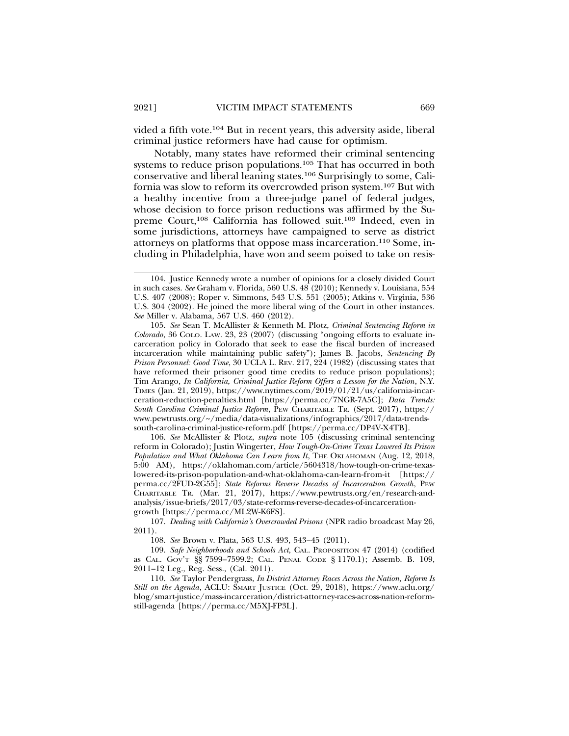vided a fifth vote.104 But in recent years, this adversity aside, liberal criminal justice reformers have had cause for optimism.

Notably, many states have reformed their criminal sentencing systems to reduce prison populations.<sup>105</sup> That has occurred in both conservative and liberal leaning states.106 Surprisingly to some, California was slow to reform its overcrowded prison system.107 But with a healthy incentive from a three-judge panel of federal judges, whose decision to force prison reductions was affirmed by the Supreme Court,<sup>108</sup> California has followed suit.<sup>109</sup> Indeed, even in some jurisdictions, attorneys have campaigned to serve as district attorneys on platforms that oppose mass incarceration.110 Some, including in Philadelphia, have won and seem poised to take on resis-

105. *See* Sean T. McAllister & Kenneth M. Plotz, *Criminal Sentencing Reform in Colorado*, 36 COLO. LAW. 23, 23 (2007) (discussing "ongoing efforts to evaluate incarceration policy in Colorado that seek to ease the fiscal burden of increased incarceration while maintaining public safety"); James B. Jacobs, *Sentencing By Prison Personnel: Good Time*, 30 UCLA L. REV. 217, 224 (1982) (discussing states that have reformed their prisoner good time credits to reduce prison populations); Tim Arango, *In California, Criminal Justice Reform Offers a Lesson for the Nation*, N.Y. TIMES (Jan. 21, 2019), https://www.nytimes.com/2019/01/21/us/california-incarceration-reduction-penalties.html [https://perma.cc/7NGR-7A5C]; *Data Trends: South Carolina Criminal Justice Reform*, PEW CHARITABLE TR. (Sept. 2017), https:// www.pewtrusts.org/~/media/data-visualizations/infographics/2017/data-trendssouth-carolina-criminal-justice-reform.pdf [https://perma.cc/DP4V-X4TB].

106. *See* McAllister & Plotz, *supra* note 105 (discussing criminal sentencing reform in Colorado); Justin Wingerter, *How Tough-On-Crime Texas Lowered Its Prison Population and What Oklahoma Can Learn from It*, THE OKLAHOMAN (Aug. 12, 2018, 5:00 AM), https://oklahoman.com/article/5604318/how-tough-on-crime-texaslowered-its-prison-population-and-what-oklahoma-can-learn-from-it [https:// perma.cc/2FUD-2G55]; *State Reforms Reverse Decades of Incarceration Growth*, PEW CHARITABLE TR. (Mar. 21, 2017), https://www.pewtrusts.org/en/research-andanalysis/issue-briefs/2017/03/state-reforms-reverse-decades-of-incarcerationgrowth [https://perma.cc/ML2W-K6FS].

107. *Dealing with California's Overcrowded Prisons* (NPR radio broadcast May 26, 2011).

108. *See* Brown v. Plata, 563 U.S. 493, 543–45 (2011).

109. *Safe Neighborhoods and Schools Act,* CAL. PROPOSITION 47 (2014) (codified as CAL. GOV'T §§ 7599–7599.2; CAL. PENAL CODE § 1170.1); Assemb. B. 109, 2011–12 Leg., Reg. Sess., (Cal. 2011).

110. *See* Taylor Pendergrass, *In District Attorney Races Across the Nation, Reform Is Still on the Agenda*, ACLU: SMART JUSTICE (Oct. 29, 2018), https://www.aclu.org/ blog/smart-justice/mass-incarceration/district-attorney-races-across-nation-reformstill-agenda [https://perma.cc/M5XJ-FP3L].

<sup>104.</sup> Justice Kennedy wrote a number of opinions for a closely divided Court in such cases. *See* Graham v. Florida, 560 U.S. 48 (2010); Kennedy v. Louisiana, 554 U.S. 407 (2008); Roper v. Simmons, 543 U.S. 551 (2005); Atkins v. Virginia, 536 U.S. 304 (2002). He joined the more liberal wing of the Court in other instances. *See* Miller v. Alabama, 567 U.S. 460 (2012).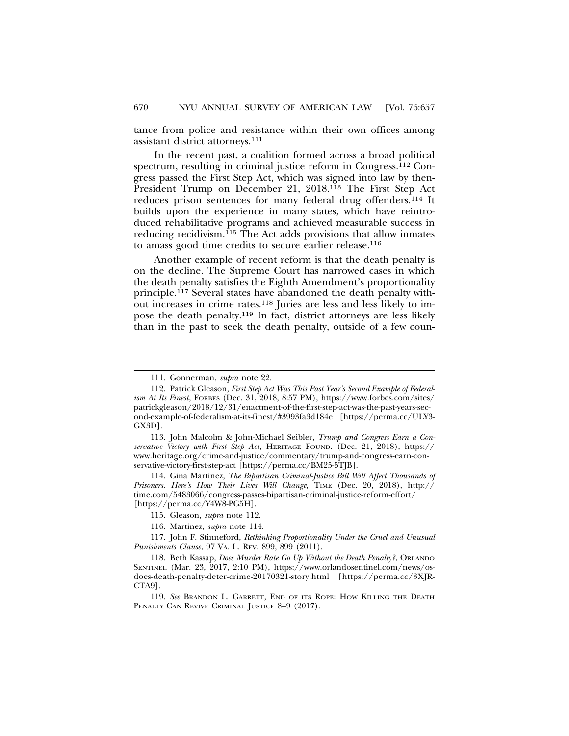tance from police and resistance within their own offices among assistant district attorneys.111

In the recent past, a coalition formed across a broad political spectrum, resulting in criminal justice reform in Congress.<sup>112</sup> Congress passed the First Step Act, which was signed into law by then-President Trump on December 21, 2018.113 The First Step Act reduces prison sentences for many federal drug offenders.114 It builds upon the experience in many states, which have reintroduced rehabilitative programs and achieved measurable success in reducing recidivism.<sup>115</sup> The Act adds provisions that allow inmates to amass good time credits to secure earlier release.116

Another example of recent reform is that the death penalty is on the decline. The Supreme Court has narrowed cases in which the death penalty satisfies the Eighth Amendment's proportionality principle.117 Several states have abandoned the death penalty without increases in crime rates.118 Juries are less and less likely to impose the death penalty.119 In fact, district attorneys are less likely than in the past to seek the death penalty, outside of a few coun-

114. Gina Martinez, *The Bipartisan Criminal-Justice Bill Will Affect Thousands of Prisoners. Here's How Their Lives Will Change,* TIME (Dec. 20, 2018), http:// time.com/5483066/congress-passes-bipartisan-criminal-justice-reform-effort/ [https://perma.cc/Y4W8-PG5H].

115. Gleason, *supra* note 112.

116. Martinez, *supra* note 114.

117. John F. Stinneford, *Rethinking Proportionality Under the Cruel and Unusual Punishments Clause*, 97 VA. L. REV. 899, 899 (2011).

118. Beth Kassap, *Does Murder Rate Go Up Without the Death Penalty?*, ORLANDO SENTINEL (Mar. 23, 2017, 2:10 PM), https://www.orlandosentinel.com/news/osdoes-death-penalty-deter-crime-20170321-story.html [https://perma.cc/3XJR-CTA9].

119. *See* BRANDON L. GARRETT, END OF ITS ROPE: HOW KILLING THE DEATH PENALTY CAN REVIVE CRIMINAL JUSTICE 8-9 (2017).

<sup>111.</sup> Gonnerman, *supra* note 22.

<sup>112.</sup> Patrick Gleason, *First Step Act Was This Past Year's Second Example of Federalism At Its Finest*, FORBES (Dec. 31, 2018, 8:57 PM), https://www.forbes.com/sites/ patrickgleason/2018/12/31/enactment-of-the-first-step-act-was-the-past-years-second-example-of-federalism-at-its-finest/#3993fa3d184e [https://perma.cc/ULY3- GX3D].

<sup>113.</sup> John Malcolm & John-Michael Seibler, *Trump and Congress Earn a Conservative Victory with First Step Act*, HERITAGE FOUND. (Dec. 21, 2018), https:// www.heritage.org/crime-and-justice/commentary/trump-and-congress-earn-conservative-victory-first-step-act [https://perma.cc/BM25-5TJB].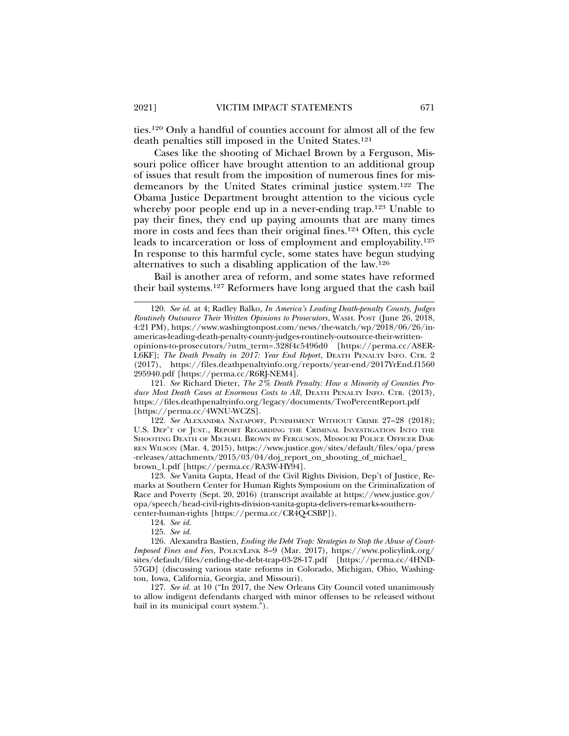ties.120 Only a handful of counties account for almost all of the few death penalties still imposed in the United States.121

Cases like the shooting of Michael Brown by a Ferguson, Missouri police officer have brought attention to an additional group of issues that result from the imposition of numerous fines for misdemeanors by the United States criminal justice system.122 The Obama Justice Department brought attention to the vicious cycle whereby poor people end up in a never-ending trap.<sup>123</sup> Unable to pay their fines, they end up paying amounts that are many times more in costs and fees than their original fines.124 Often, this cycle leads to incarceration or loss of employment and employability.125 In response to this harmful cycle, some states have begun studying alternatives to such a disabling application of the law.126

Bail is another area of reform, and some states have reformed their bail systems.127 Reformers have long argued that the cash bail

121. *See* Richard Dieter, *The 2% Death Penalty: How a Minority of Counties Produce Most Death Cases at Enormous Costs to All*, DEATH PENALTY INFO. CTR. (2013), https://files.deathpenaltyinfo.org/legacy/documents/TwoPercentReport.pdf [https://perma.cc/4WNU-WCZS].

122. *See* ALEXANDRA NATAPOFF, PUNISHMENT WITHOUT CRIME 27–28 (2018); U.S. DEP'T OF JUST., REPORT REGARDING THE CRIMINAL INVESTIGATION INTO THE SHOOTING DEATH OF MICHAEL BROWN BY FERGUSON, MISSOURI POLICE OFFICER DAR-REN WILSON (Mar. 4, 2015), https://www.justice.gov/sites/default/files/opa/press -releases/attachments/2015/03/04/doj\_report\_on\_shooting\_of\_michael\_ brown\_1.pdf [https://perma.cc/RA3W-HY94].

123. *See* Vanita Gupta, Head of the Civil Rights Division, Dep't of Justice, Remarks at Southern Center for Human Rights Symposium on the Criminalization of Race and Poverty (Sept. 20, 2016) (transcript available at https://www.justice.gov/ opa/speech/head-civil-rights-division-vanita-gupta-delivers-remarks-southerncenter-human-rights [https://perma.cc/CR4Q-CSBP]).

124. *See id.*

125. *See id.*

126. Alexandra Bastien, *Ending the Debt Trap: Strategies to Stop the Abuse of Court-Imposed Fines and Fees*, POLICYLINK 8–9 (Mar. 2017), https://www.policylink.org/ sites/default/files/ending-the-debt-trap-03-28-17.pdf [https://perma.cc/4HND-57GD] (discussing various state reforms in Colorado, Michigan, Ohio, Washington, Iowa, California, Georgia, and Missouri).

127. *See id.* at 10 ("In 2017, the New Orleans City Council voted unanimously to allow indigent defendants charged with minor offenses to be released without bail in its municipal court system.").

<sup>120.</sup> *See id.* at 4; Radley Balko, *In America's Leading Death-penalty County, Judges Routinely Outsource Their Written Opinions to Prosecutors*, WASH. POST (June 26, 2018, 4:21 PM), https://www.washingtonpost.com/news/the-watch/wp/2018/06/26/inamericas-leading-death-penalty-county-judges-routinely-outsource-their-writtenopinions-to-prosecutors/?utm\_term=.328f4c5496d0 [https://perma.cc/A8ER-L6KF]; *The Death Penalty in 2017: Year End Report*, DEATH PENALTY INFO. CTR. 2 (2017), https://files.deathpenaltyinfo.org/reports/year-end/2017YrEnd.f1560 295940.pdf [https://perma.cc/R6RJ-NEM4].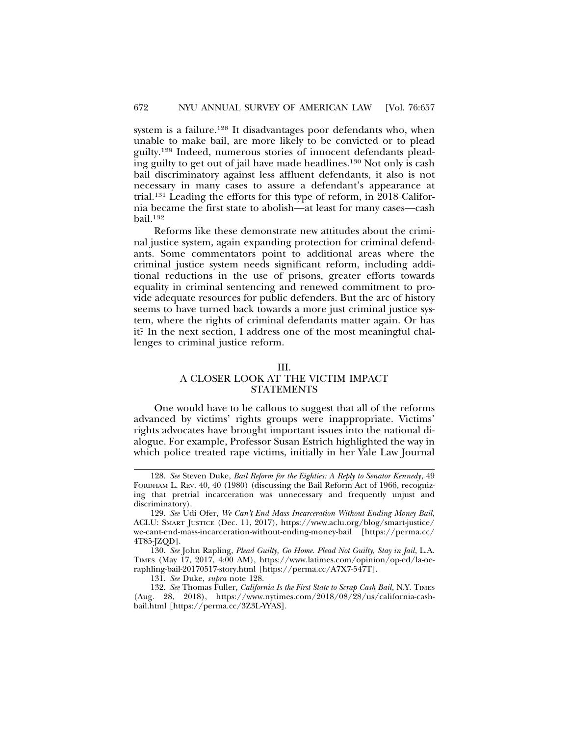system is a failure.<sup>128</sup> It disadvantages poor defendants who, when unable to make bail, are more likely to be convicted or to plead guilty.129 Indeed, numerous stories of innocent defendants pleading guilty to get out of jail have made headlines.130 Not only is cash bail discriminatory against less affluent defendants, it also is not necessary in many cases to assure a defendant's appearance at trial.131 Leading the efforts for this type of reform, in 2018 California became the first state to abolish—at least for many cases—cash bail.132

Reforms like these demonstrate new attitudes about the criminal justice system, again expanding protection for criminal defendants. Some commentators point to additional areas where the criminal justice system needs significant reform, including additional reductions in the use of prisons, greater efforts towards equality in criminal sentencing and renewed commitment to provide adequate resources for public defenders. But the arc of history seems to have turned back towards a more just criminal justice system, where the rights of criminal defendants matter again. Or has it? In the next section, I address one of the most meaningful challenges to criminal justice reform.

#### III.

## A CLOSER LOOK AT THE VICTIM IMPACT STATEMENTS

One would have to be callous to suggest that all of the reforms advanced by victims' rights groups were inappropriate. Victims' rights advocates have brought important issues into the national dialogue. For example, Professor Susan Estrich highlighted the way in which police treated rape victims, initially in her Yale Law Journal

<sup>128.</sup> *See* Steven Duke, *Bail Reform for the Eighties: A Reply to Senator Kennedy*, 49 FORDHAM L. REV. 40, 40 (1980) (discussing the Bail Reform Act of 1966, recognizing that pretrial incarceration was unnecessary and frequently unjust and discriminatory).

<sup>129.</sup> *See* Udi Ofer, *We Can't End Mass Incarceration Without Ending Money Bail*, ACLU: SMART JUSTICE (Dec. 11, 2017), https://www.aclu.org/blog/smart-justice/ we-cant-end-mass-incarceration-without-ending-money-bail [https://perma.cc/ 4T85-JZQD].

<sup>130.</sup> *See* John Rapling, *Plead Guilty, Go Home. Plead Not Guilty, Stay in Jail*, L.A. TIMES (May 17, 2017, 4:00 AM), https://www.latimes.com/opinion/op-ed/la-oeraphling-bail-20170517-story.html [https://perma.cc/A7X7-547T].

<sup>131.</sup> *See* Duke, *supra* note 128.

<sup>132.</sup> *See* Thomas Fuller, *California Is the First State to Scrap Cash Bail*, N.Y. TIMES (Aug. 28, 2018), https://www.nytimes.com/2018/08/28/us/california-cashbail.html [https://perma.cc/3Z3L-YYAS].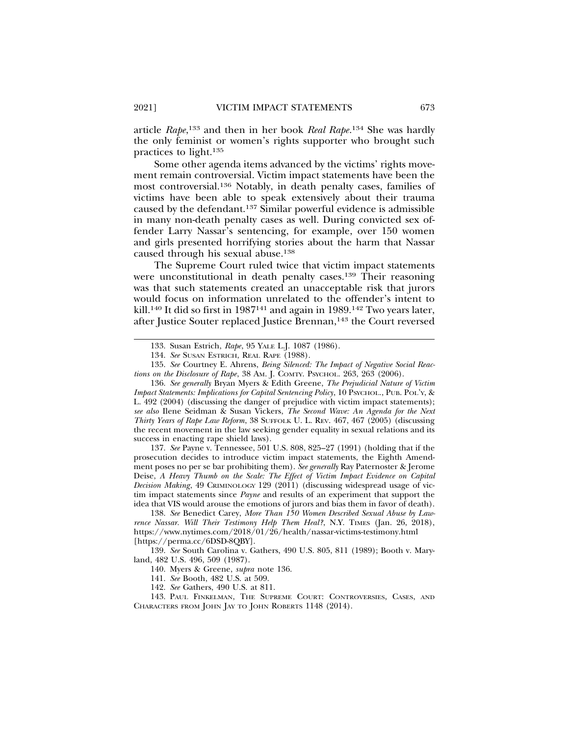article *Rape*, 133 and then in her book *Real Rape*. 134 She was hardly the only feminist or women's rights supporter who brought such practices to light.135

Some other agenda items advanced by the victims' rights movement remain controversial. Victim impact statements have been the most controversial.136 Notably, in death penalty cases, families of victims have been able to speak extensively about their trauma caused by the defendant.137 Similar powerful evidence is admissible in many non-death penalty cases as well. During convicted sex offender Larry Nassar's sentencing, for example, over 150 women and girls presented horrifying stories about the harm that Nassar caused through his sexual abuse.138

The Supreme Court ruled twice that victim impact statements were unconstitutional in death penalty cases.139 Their reasoning was that such statements created an unacceptable risk that jurors would focus on information unrelated to the offender's intent to kill.<sup>140</sup> It did so first in 1987<sup>141</sup> and again in 1989.<sup>142</sup> Two years later, after Justice Souter replaced Justice Brennan,<sup>143</sup> the Court reversed

137. *See* Payne v. Tennessee, 501 U.S. 808, 825–27 (1991) (holding that if the prosecution decides to introduce victim impact statements, the Eighth Amendment poses no per se bar prohibiting them). *See generally* Ray Paternoster & Jerome Deise, *A Heavy Thumb on the Scale: The Effect of Victim Impact Evidence on Capital Decision Making*, 49 CRIMINOLOGY 129 (2011) (discussing widespread usage of victim impact statements since *Payne* and results of an experiment that support the idea that VIS would arouse the emotions of jurors and bias them in favor of death).

138. *See* Benedict Carey, *More Than 150 Women Described Sexual Abuse by Lawrence Nassar. Will Their Testimony Help Them Heal?*, N.Y. TIMES (Jan. 26, 2018), https://www.nytimes.com/2018/01/26/health/nassar-victims-testimony.html [https://perma.cc/6DSD-8QBY].

139. *See* South Carolina v. Gathers, 490 U.S. 805, 811 (1989); Booth v. Maryland, 482 U.S. 496, 509 (1987).

<sup>133.</sup> Susan Estrich, *Rape*, 95 YALE L.J. 1087 (1986).

<sup>134.</sup> *See* SUSAN ESTRICH, REAL RAPE (1988).

<sup>135.</sup> *See* Courtney E. Ahrens, *Being Silenced: The Impact of Negative Social Reactions on the Disclosure of Rape*, 38 AM. J. COMTY. PSYCHOL. 263, 263 (2006).

<sup>136.</sup> *See generally* Bryan Myers & Edith Greene, *The Prejudicial Nature of Victim Impact Statements: Implications for Capital Sentencing Policy*, 10 PSYCHOL., PUB. POL'Y, & L. 492 (2004) (discussing the danger of prejudice with victim impact statements); *see also* Ilene Seidman & Susan Vickers, *The Second Wave: An Agenda for the Next Thirty Years of Rape Law Reform*, 38 SUFFOLK U. L. REV. 467, 467 (2005) (discussing the recent movement in the law seeking gender equality in sexual relations and its success in enacting rape shield laws).

<sup>140.</sup> Myers & Greene, *supra* note 136.

<sup>141.</sup> *See* Booth, 482 U.S. at 509.

<sup>142.</sup> *See* Gathers, 490 U.S. at 811.

<sup>143.</sup> PAUL FINKELMAN, THE SUPREME COURT: CONTROVERSIES, CASES, AND CHARACTERS FROM JOHN JAY TO JOHN ROBERTS 1148 (2014).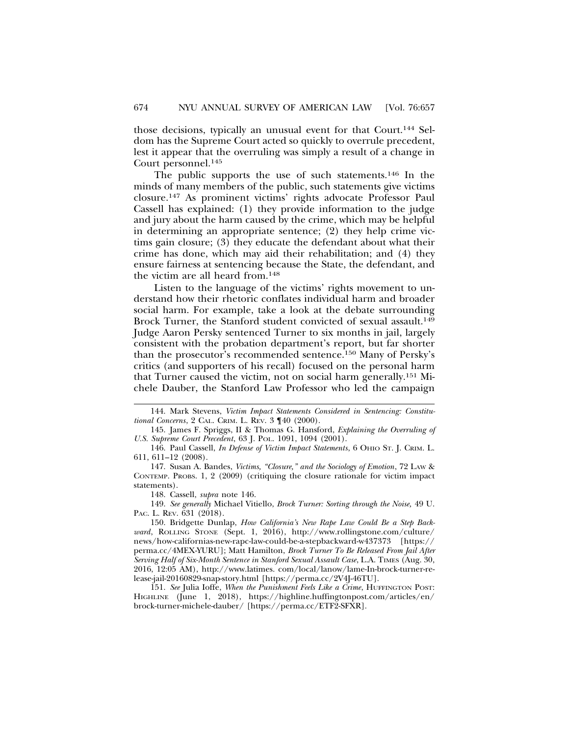those decisions, typically an unusual event for that Court.144 Seldom has the Supreme Court acted so quickly to overrule precedent, lest it appear that the overruling was simply a result of a change in Court personnel.145

The public supports the use of such statements.146 In the minds of many members of the public, such statements give victims closure.147 As prominent victims' rights advocate Professor Paul Cassell has explained: (1) they provide information to the judge and jury about the harm caused by the crime, which may be helpful in determining an appropriate sentence; (2) they help crime victims gain closure; (3) they educate the defendant about what their crime has done, which may aid their rehabilitation; and (4) they ensure fairness at sentencing because the State, the defendant, and the victim are all heard from.148

Listen to the language of the victims' rights movement to understand how their rhetoric conflates individual harm and broader social harm. For example, take a look at the debate surrounding Brock Turner, the Stanford student convicted of sexual assault.<sup>149</sup> Judge Aaron Persky sentenced Turner to six months in jail, largely consistent with the probation department's report, but far shorter than the prosecutor's recommended sentence.150 Many of Persky's critics (and supporters of his recall) focused on the personal harm that Turner caused the victim, not on social harm generally.151 Michele Dauber, the Stanford Law Professor who led the campaign

149. *See generally* Michael Vitiello, *Brock Turner: Sorting through the Noise,* 49 U. PAC. L. REV. 631 (2018).

151. *See* Julia Ioffe, *When the Punishment Feels Like a Crime*, HUFFINGTON POST: HIGHLINE (June 1, 2018), https://highline.huffingtonpost.com/articles/en/ brock-turner-michele-dauber/ [https://perma.cc/ETF2-SFXR].

<sup>144.</sup> Mark Stevens, *Victim Impact Statements Considered in Sentencing: Constitutional Concerns*, 2 CAL. CRIM. L. REV. 3 ¶40 (2000).

<sup>145.</sup> James F. Spriggs, II & Thomas G. Hansford, *Explaining the Overruling of U.S. Supreme Court Precedent*, 63 J. POL. 1091, 1094 (2001).

<sup>146.</sup> Paul Cassell, *In Defense of Victim Impact Statements*, 6 OHIO ST. J. CRIM. L. 611, 611–12 (2008).

<sup>147.</sup> Susan A. Bandes, *Victims, "Closure," and the Sociology of Emotion*, 72 LAW & CONTEMP. PROBS. 1, 2 (2009) (critiquing the closure rationale for victim impact statements).

<sup>148.</sup> Cassell, *supra* note 146.

<sup>150.</sup> Bridgette Dunlap, *How California's New Rape Law Could Be a Step Backward*, ROLLING STONE (Sept. 1, 2016), http://www.rollingstone.com/culture/ news/how-californias-new-rapc-law-could-be-a-stepbackward-w437373 [https:// perma.cc/4MEX-YURU]; Matt Hamilton, *Brock Turner To Be Released From Jail After Serving Half of Six-Month Sentence in Stanford Sexual Assault Case*, L.A. TIMES (Aug. 30, 2016, 12:05 AM), http://www.latimes. com/local/lanow/lame-In-brock-turner-release-jail-20160829-snap-story.html [https://perma.cc/2V4J-46TU].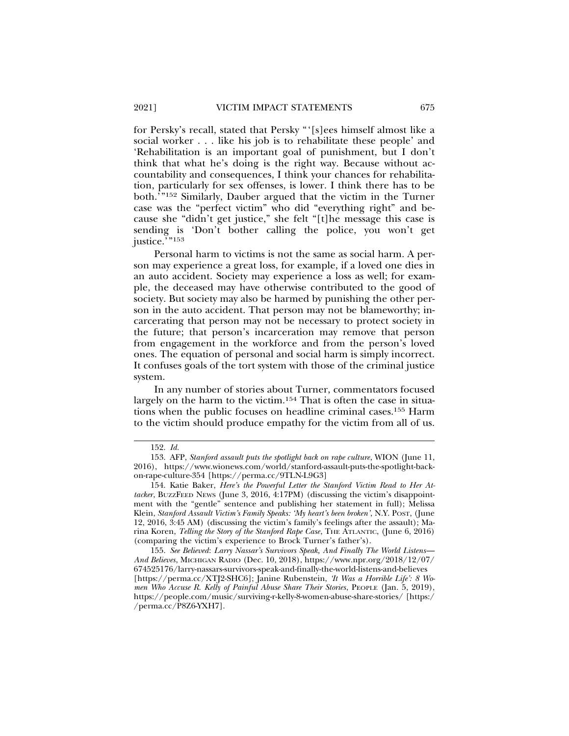for Persky's recall, stated that Persky "'[s]ees himself almost like a social worker . . . like his job is to rehabilitate these people' and 'Rehabilitation is an important goal of punishment, but I don't think that what he's doing is the right way. Because without accountability and consequences, I think your chances for rehabilitation, particularly for sex offenses, is lower. I think there has to be both.'"152 Similarly, Dauber argued that the victim in the Turner case was the "perfect victim" who did "everything right" and because she "didn't get justice," she felt "[t]he message this case is sending is 'Don't bother calling the police, you won't get justice."<sup>153</sup>

Personal harm to victims is not the same as social harm. A person may experience a great loss, for example, if a loved one dies in an auto accident. Society may experience a loss as well; for example, the deceased may have otherwise contributed to the good of society. But society may also be harmed by punishing the other person in the auto accident. That person may not be blameworthy; incarcerating that person may not be necessary to protect society in the future; that person's incarceration may remove that person from engagement in the workforce and from the person's loved ones. The equation of personal and social harm is simply incorrect. It confuses goals of the tort system with those of the criminal justice system.

In any number of stories about Turner, commentators focused largely on the harm to the victim.<sup>154</sup> That is often the case in situations when the public focuses on headline criminal cases.155 Harm to the victim should produce empathy for the victim from all of us.

<sup>152.</sup> *Id.*

<sup>153.</sup> AFP, *Stanford assault puts the spotlight back on rape culture*, WION (June 11, 2016), https://www.wionews.com/world/stanford-assault-puts-the-spotlight-backon-rape-culture-354 [https://perma.cc/9TLN-L9G3]

<sup>154.</sup> Katie Baker, *Here's the Powerful Letter the Stanford Victim Read to Her Attacker*, BUZZFEED NEWS (June 3, 2016, 4:17PM) (discussing the victim's disappointment with the "gentle" sentence and publishing her statement in full); Melissa Klein, *Stanford Assault Victim's Family Speaks: 'My heart's been broken'*, N.Y. POST, (June 12, 2016, 3:45 AM) (discussing the victim's family's feelings after the assault); Marina Koren, *Telling the Story of the Stanford Rape Case*, THE ATLANTIC, (June 6, 2016) (comparing the victim's experience to Brock Turner's father's).

<sup>155.</sup> *See Believed*: *Larry Nassar's Survivors Speak, And Finally The World Listens*— *And Believes*, MICHIGAN RADIO (Dec. 10, 2018), https://www.npr.org/2018/12/07/ 674525176/larry-nassars-survivors-speak-and-finally-the-world-listens-and-believes [https://perma.cc/XTJ2-SHC6]; Janine Rubenstein, *'It Was a Horrible Life': 8 Women Who Accuse R. Kelly of Painful Abuse Share Their Stories*, PEOPLE (Jan. 5, 2019), https://people.com/music/surviving-r-kelly-8-women-abuse-share-stories/ [https:/ /perma.cc/P8Z6-YXH7].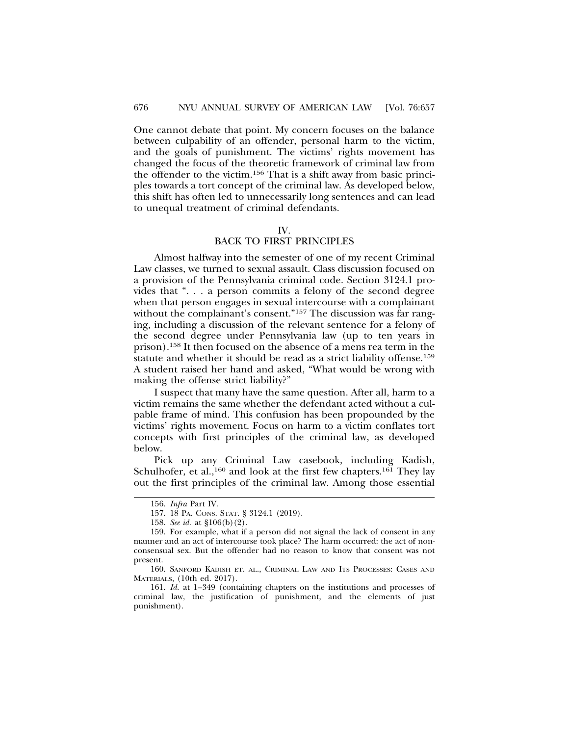One cannot debate that point. My concern focuses on the balance between culpability of an offender, personal harm to the victim, and the goals of punishment. The victims' rights movement has changed the focus of the theoretic framework of criminal law from the offender to the victim.156 That is a shift away from basic principles towards a tort concept of the criminal law. As developed below, this shift has often led to unnecessarily long sentences and can lead to unequal treatment of criminal defendants.

#### IV.

## BACK TO FIRST PRINCIPLES

Almost halfway into the semester of one of my recent Criminal Law classes, we turned to sexual assault. Class discussion focused on a provision of the Pennsylvania criminal code. Section 3124.1 provides that ". . . a person commits a felony of the second degree when that person engages in sexual intercourse with a complainant without the complainant's consent."<sup>157</sup> The discussion was far ranging, including a discussion of the relevant sentence for a felony of the second degree under Pennsylvania law (up to ten years in prison).158 It then focused on the absence of a mens rea term in the statute and whether it should be read as a strict liability offense.159 A student raised her hand and asked, "What would be wrong with making the offense strict liability?"

I suspect that many have the same question. After all, harm to a victim remains the same whether the defendant acted without a culpable frame of mind. This confusion has been propounded by the victims' rights movement. Focus on harm to a victim conflates tort concepts with first principles of the criminal law, as developed below.

Pick up any Criminal Law casebook, including Kadish, Schulhofer, et al.,<sup>160</sup> and look at the first few chapters.<sup>161</sup> They lay out the first principles of the criminal law. Among those essential

<sup>156.</sup> *Infra* Part IV.

<sup>157. 18</sup> PA. CONS. STAT. § 3124.1 (2019).

<sup>158.</sup> *See id.* at §106(b)(2).

<sup>159.</sup> For example, what if a person did not signal the lack of consent in any manner and an act of intercourse took place? The harm occurred: the act of nonconsensual sex. But the offender had no reason to know that consent was not present.

<sup>160.</sup> SANFORD KADISH ET. AL., CRIMINAL LAW AND ITS PROCESSES: CASES AND MATERIALS, (10th ed. 2017).

<sup>161.</sup> *Id.* at 1–349 (containing chapters on the institutions and processes of criminal law, the justification of punishment, and the elements of just punishment).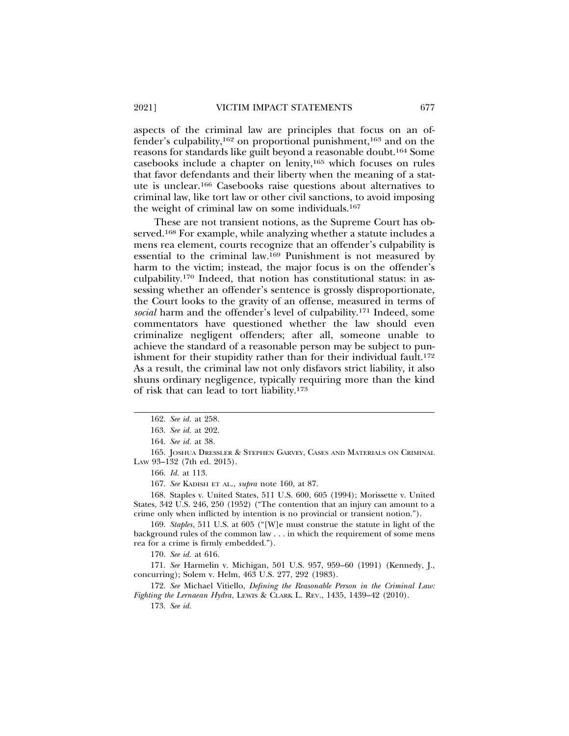aspects of the criminal law are principles that focus on an offender's culpability,162 on proportional punishment,163 and on the reasons for standards like guilt beyond a reasonable doubt.164 Some casebooks include a chapter on lenity,165 which focuses on rules that favor defendants and their liberty when the meaning of a statute is unclear.166 Casebooks raise questions about alternatives to criminal law, like tort law or other civil sanctions, to avoid imposing the weight of criminal law on some individuals.167

These are not transient notions, as the Supreme Court has observed.168 For example, while analyzing whether a statute includes a mens rea element, courts recognize that an offender's culpability is essential to the criminal law.169 Punishment is not measured by harm to the victim; instead, the major focus is on the offender's culpability.170 Indeed, that notion has constitutional status: in assessing whether an offender's sentence is grossly disproportionate, the Court looks to the gravity of an offense, measured in terms of *social* harm and the offender's level of culpability.171 Indeed, some commentators have questioned whether the law should even criminalize negligent offenders; after all, someone unable to achieve the standard of a reasonable person may be subject to punishment for their stupidity rather than for their individual fault.<sup>172</sup> As a result, the criminal law not only disfavors strict liability, it also shuns ordinary negligence, typically requiring more than the kind of risk that can lead to tort liability.173

165. JOSHUA DRESSLER & STEPHEN GARVEY, CASES AND MATERIALS ON CRIMINAL LAW 93–132 (7th ed. 2015).

166. *Id.* at 113.

167. *See* KADISH ET AL., *supra* note 160, at 87.

168. Staples v. United States, 511 U.S. 600, 605 (1994); Morissette v. United States, 342 U.S. 246, 250 (1952) ("The contention that an injury can amount to a crime only when inflicted by intention is no provincial or transient notion.").

169. *Staples*, 511 U.S. at 605 ("[W]e must construe the statute in light of the background rules of the common law . . . in which the requirement of some mens rea for a crime is firmly embedded.").

170. *See id.* at 616.

171. *See* Harmelin v. Michigan, 501 U.S. 957, 959–60 (1991) (Kennedy, J., concurring); Solem v. Helm, 463 U.S. 277, 292 (1983).

172. *See* Michael Vitiello, *Defining the Reasonable Person in the Criminal Law: Fighting the Lernaean Hydra*, LEWIS & CLARK L. REV., 1435, 1439–42 (2010).

173. *See id.*

<sup>162.</sup> *See id.* at 258.

<sup>163.</sup> *See id.* at 202.

<sup>164.</sup> *See id.* at 38.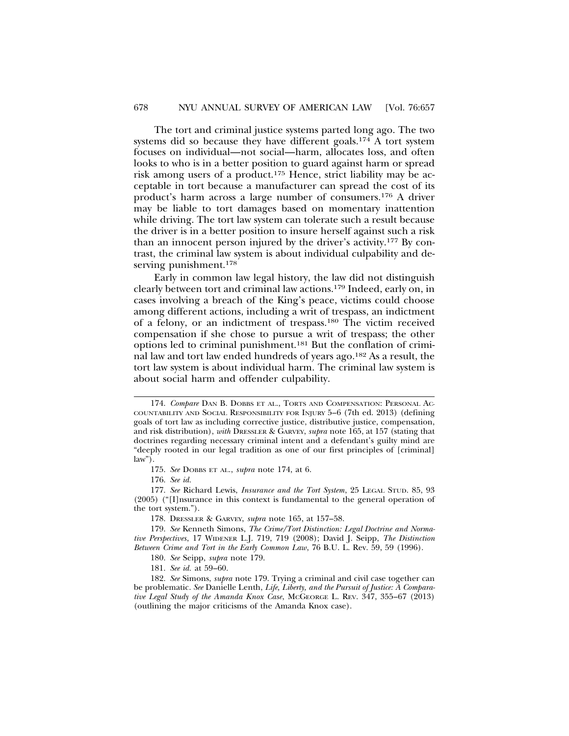The tort and criminal justice systems parted long ago. The two systems did so because they have different goals.174 A tort system focuses on individual—not social—harm, allocates loss, and often looks to who is in a better position to guard against harm or spread risk among users of a product.175 Hence, strict liability may be acceptable in tort because a manufacturer can spread the cost of its product's harm across a large number of consumers.176 A driver may be liable to tort damages based on momentary inattention while driving. The tort law system can tolerate such a result because the driver is in a better position to insure herself against such a risk than an innocent person injured by the driver's activity.177 By contrast, the criminal law system is about individual culpability and deserving punishment.<sup>178</sup>

Early in common law legal history, the law did not distinguish clearly between tort and criminal law actions.179 Indeed, early on, in cases involving a breach of the King's peace, victims could choose among different actions, including a writ of trespass, an indictment of a felony, or an indictment of trespass.180 The victim received compensation if she chose to pursue a writ of trespass; the other options led to criminal punishment.181 But the conflation of criminal law and tort law ended hundreds of years ago.182 As a result, the tort law system is about individual harm. The criminal law system is about social harm and offender culpability.

181. *See id.* at 59–60.

<sup>174.</sup> *Compare* DAN B. DOBBS ET AL., TORTS AND COMPENSATION: PERSONAL AC-COUNTABILITY AND SOCIAL RESPONSIBILITY FOR INJURY 5–6 (7th ed. 2013) (defining goals of tort law as including corrective justice, distributive justice, compensation, and risk distribution), *with* DRESSLER & GARVEY, *supra* note 165, at 157 (stating that doctrines regarding necessary criminal intent and a defendant's guilty mind are "deeply rooted in our legal tradition as one of our first principles of [criminal]  $law''$ ).

<sup>175.</sup> *See* DOBBS ET AL., *supra* note 174, at 6.

<sup>176.</sup> *See id.* 

<sup>177.</sup> *See* Richard Lewis, *Insurance and the Tort System*, 25 LEGAL STUD. 85, 93 (2005) ("[I]nsurance in this context is fundamental to the general operation of the tort system.").

<sup>178.</sup> DRESSLER & GARVEY, *supra* note 165, at 157–58.

<sup>179.</sup> *See* Kenneth Simons, *The Crime/Tort Distinction: Legal Doctrine and Normative Perspectives*, 17 WIDENER L.J. 719, 719 (2008); David J. Seipp, *The Distinction Between Crime and Tort in the Early Common Law*, 76 B.U. L. Rev. 59, 59 (1996).

<sup>180.</sup> *See* Seipp, *supra* note 179.

<sup>182.</sup> *See* Simons, *supra* note 179. Trying a criminal and civil case together can be problematic. *See* Danielle Lenth, *Life, Liberty, and the Pursuit of Justice: A Comparative Legal Study of the Amanda Knox Case*, MCGEORGE L. REV. 347, 355–67 (2013) (outlining the major criticisms of the Amanda Knox case).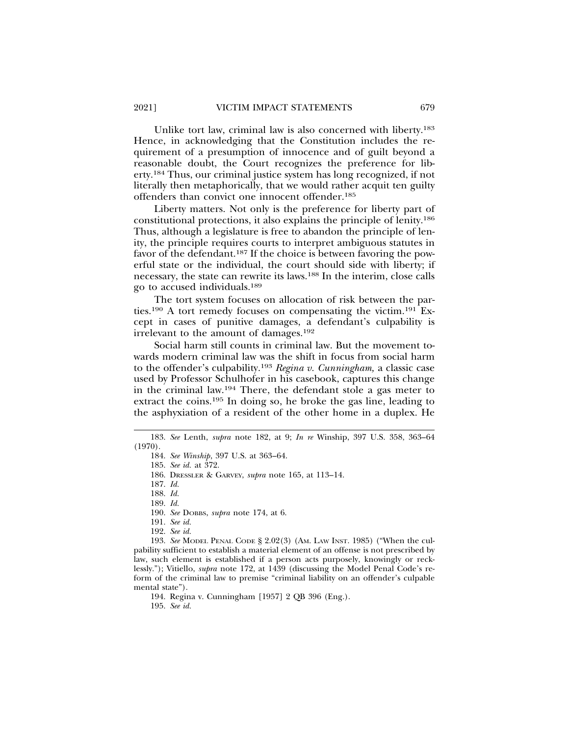Unlike tort law, criminal law is also concerned with liberty.183 Hence, in acknowledging that the Constitution includes the requirement of a presumption of innocence and of guilt beyond a reasonable doubt, the Court recognizes the preference for liberty.184 Thus, our criminal justice system has long recognized, if not literally then metaphorically, that we would rather acquit ten guilty offenders than convict one innocent offender.185

Liberty matters. Not only is the preference for liberty part of constitutional protections, it also explains the principle of lenity.186 Thus, although a legislature is free to abandon the principle of lenity, the principle requires courts to interpret ambiguous statutes in favor of the defendant.187 If the choice is between favoring the powerful state or the individual, the court should side with liberty; if necessary, the state can rewrite its laws.188 In the interim, close calls go to accused individuals.189

The tort system focuses on allocation of risk between the parties.190 A tort remedy focuses on compensating the victim.191 Except in cases of punitive damages, a defendant's culpability is irrelevant to the amount of damages.192

Social harm still counts in criminal law. But the movement towards modern criminal law was the shift in focus from social harm to the offender's culpability.193 *Regina v. Cunningham,* a classic case used by Professor Schulhofer in his casebook, captures this change in the criminal law.194 There, the defendant stole a gas meter to extract the coins.195 In doing so, he broke the gas line, leading to the asphyxiation of a resident of the other home in a duplex. He

189. *Id.*

- 191. *See id.*
- 192. *See id.*

193. *See* MODEL PENAL CODE § 2.02(3) (AM. LAW INST. 1985) ("When the culpability sufficient to establish a material element of an offense is not prescribed by law, such element is established if a person acts purposely, knowingly or recklessly."); Vitiello, *supra* note 172, at 1439 (discussing the Model Penal Code's reform of the criminal law to premise "criminal liability on an offender's culpable mental state").

194. Regina v. Cunningham [1957] 2 QB 396 (Eng.).

195. *See id.*

<sup>183.</sup> *See* Lenth, *supra* note 182, at 9; *In re* Winship, 397 U.S. 358, 363–64 (1970).

<sup>184.</sup> *See Winship*, 397 U.S. at 363–64.

<sup>185.</sup> *See id.* at 372.

<sup>186.</sup> DRESSLER & GARVEY, *supra* note 165, at 113–14.

<sup>187.</sup> *Id.*

<sup>188.</sup> *Id.*

<sup>190.</sup> *See* DOBBS, *supra* note 174, at 6.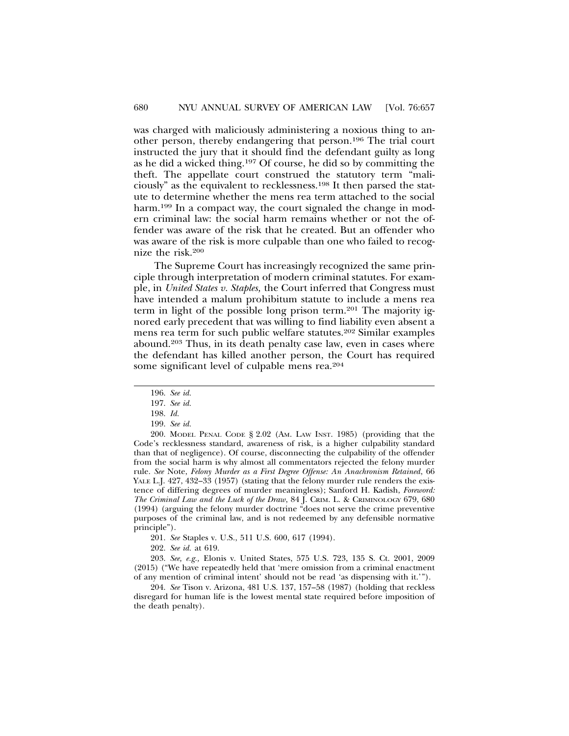was charged with maliciously administering a noxious thing to another person, thereby endangering that person.196 The trial court instructed the jury that it should find the defendant guilty as long as he did a wicked thing.197 Of course, he did so by committing the theft. The appellate court construed the statutory term "maliciously" as the equivalent to recklessness.198 It then parsed the statute to determine whether the mens rea term attached to the social harm.<sup>199</sup> In a compact way, the court signaled the change in modern criminal law: the social harm remains whether or not the offender was aware of the risk that he created. But an offender who was aware of the risk is more culpable than one who failed to recognize the risk.200

The Supreme Court has increasingly recognized the same principle through interpretation of modern criminal statutes. For example, in *United States v. Staples,* the Court inferred that Congress must have intended a malum prohibitum statute to include a mens rea term in light of the possible long prison term.201 The majority ignored early precedent that was willing to find liability even absent a mens rea term for such public welfare statutes.202 Similar examples abound.203 Thus, in its death penalty case law, even in cases where the defendant has killed another person, the Court has required some significant level of culpable mens rea.204

200. MODEL PENAL CODE § 2.02 (AM. LAW INST. 1985) (providing that the Code's recklessness standard, awareness of risk, is a higher culpability standard than that of negligence). Of course, disconnecting the culpability of the offender from the social harm is why almost all commentators rejected the felony murder rule. *See* Note, *Felony Murder as a First Degree Offense: An Anachronism Retained*, 66 YALE L.J. 427, 432–33 (1957) (stating that the felony murder rule renders the existence of differing degrees of murder meaningless); Sanford H. Kadish, *Foreword: The Criminal Law and the Luck of the Draw*, 84 J. CRIM. L. & CRIMINOLOGY 679, 680 (1994) (arguing the felony murder doctrine "does not serve the crime preventive purposes of the criminal law, and is not redeemed by any defensible normative principle").

201. *See* Staples v. U.S., 511 U.S. 600, 617 (1994).

202. *See id.* at 619.

203. *See, e.g.,* Elonis v. United States, 575 U.S. 723, 135 S. Ct. 2001, 2009 (2015) ("We have repeatedly held that 'mere omission from a criminal enactment of any mention of criminal intent' should not be read 'as dispensing with it.'").

204. *See* Tison v. Arizona, 481 U.S. 137, 157–58 (1987) (holding that reckless disregard for human life is the lowest mental state required before imposition of the death penalty).

<sup>196.</sup> *See id.*

<sup>197.</sup> *See id.*

<sup>198.</sup> *Id.*

<sup>199.</sup> *See id.*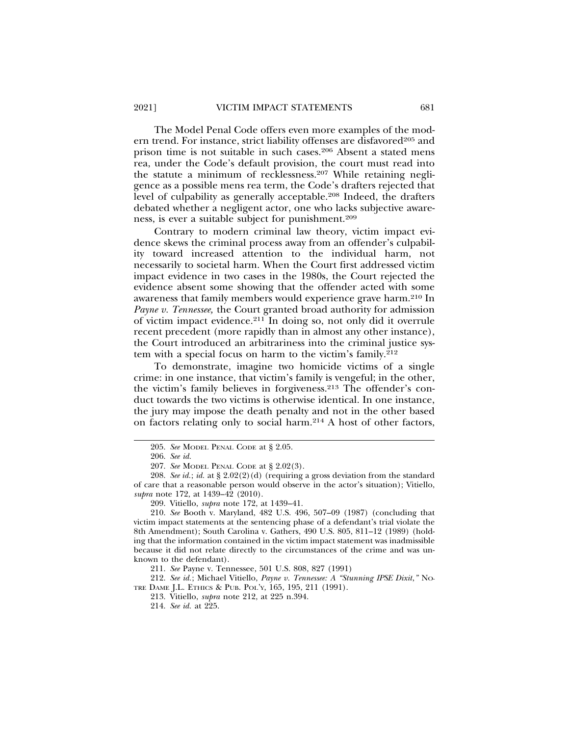The Model Penal Code offers even more examples of the modern trend. For instance, strict liability offenses are disfavored<sup>205</sup> and prison time is not suitable in such cases.206 Absent a stated mens rea, under the Code's default provision, the court must read into the statute a minimum of recklessness.207 While retaining negligence as a possible mens rea term, the Code's drafters rejected that level of culpability as generally acceptable.208 Indeed, the drafters debated whether a negligent actor, one who lacks subjective awareness, is ever a suitable subject for punishment.209

Contrary to modern criminal law theory, victim impact evidence skews the criminal process away from an offender's culpability toward increased attention to the individual harm, not necessarily to societal harm. When the Court first addressed victim impact evidence in two cases in the 1980s, the Court rejected the evidence absent some showing that the offender acted with some awareness that family members would experience grave harm.210 In *Payne v. Tennessee,* the Court granted broad authority for admission of victim impact evidence.211 In doing so, not only did it overrule recent precedent (more rapidly than in almost any other instance), the Court introduced an arbitrariness into the criminal justice system with a special focus on harm to the victim's family.212

To demonstrate, imagine two homicide victims of a single crime: in one instance, that victim's family is vengeful; in the other, the victim's family believes in forgiveness.213 The offender's conduct towards the two victims is otherwise identical. In one instance, the jury may impose the death penalty and not in the other based on factors relating only to social harm.214 A host of other factors,

211. *See* Payne v. Tennessee, 501 U.S. 808, 827 (1991)

212. *See id.*; Michael Vitiello, *Payne v. Tennessee: A "Stunning IPSE Dixit*,*"* NO-TRE DAME J.L. ETHICS & PUB. POL'Y, 165, 195, 211 (1991).

213. Vitiello, *supra* note 212, at 225 n.394.

214. *See id.* at 225.

<sup>205.</sup> *See* MODEL PENAL CODE at § 2.05.

<sup>206.</sup> *See id.*

<sup>207.</sup> *See* MODEL PENAL CODE at § 2.02(3).

<sup>208.</sup> *See id.*; *id.* at § 2.02(2)(d) (requiring a gross deviation from the standard of care that a reasonable person would observe in the actor's situation); Vitiello, *supra* note 172, at 1439–42 (2010).

<sup>209.</sup> Vitiello, *supra* note 172, at 1439–41.

<sup>210.</sup> *See* Booth v. Maryland, 482 U.S. 496, 507–09 (1987) (concluding that victim impact statements at the sentencing phase of a defendant's trial violate the 8th Amendment); South Carolina v. Gathers, 490 U.S. 805, 811–12 (1989) (holding that the information contained in the victim impact statement was inadmissible because it did not relate directly to the circumstances of the crime and was unknown to the defendant).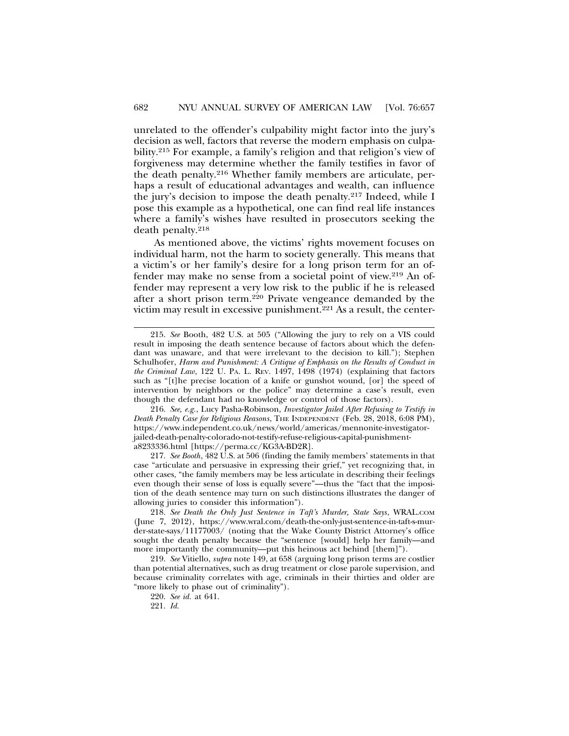unrelated to the offender's culpability might factor into the jury's decision as well, factors that reverse the modern emphasis on culpability.215 For example, a family's religion and that religion's view of forgiveness may determine whether the family testifies in favor of the death penalty.216 Whether family members are articulate, perhaps a result of educational advantages and wealth, can influence the jury's decision to impose the death penalty.217 Indeed, while I pose this example as a hypothetical, one can find real life instances where a family's wishes have resulted in prosecutors seeking the death penalty.218

As mentioned above, the victims' rights movement focuses on individual harm, not the harm to society generally. This means that a victim's or her family's desire for a long prison term for an offender may make no sense from a societal point of view.219 An offender may represent a very low risk to the public if he is released after a short prison term.220 Private vengeance demanded by the victim may result in excessive punishment.221 As a result, the center-

216. *See, e.g.*, Lucy Pasha-Robinson, *Investigator Jailed After Refusing to Testify in Death Penalty Case for Religious Reasons*, THE INDEPENDENT (Feb. 28, 2018, 6:08 PM), https://www.independent.co.uk/news/world/americas/mennonite-investigatorjailed-death-penalty-colorado-not-testify-refuse-religious-capital-punishmenta8233336.html [https://perma.cc/KG3A-BD2R].

217. *See Booth*, 482 U.S. at 506 (finding the family members' statements in that case "articulate and persuasive in expressing their grief," yet recognizing that, in other cases, "the family members may be less articulate in describing their feelings even though their sense of loss is equally severe"—thus the "fact that the imposition of the death sentence may turn on such distinctions illustrates the danger of allowing juries to consider this information").

218. *See Death the Only Just Sentence in Taft's Murder, State Says*, WRAL.COM (June 7, 2012), https://www.wral.com/death-the-only-just-sentence-in-taft-s-murder-state-says/11177003/ (noting that the Wake County District Attorney's office sought the death penalty because the "sentence [would] help her family—and more importantly the community—put this heinous act behind [them]").

219. *See* Vitiello, *supra* note 149, at 658 (arguing long prison terms are costlier than potential alternatives, such as drug treatment or close parole supervision, and because criminality correlates with age, criminals in their thirties and older are "more likely to phase out of criminality").

220. *See id.* at 641.

<sup>215.</sup> *See* Booth, 482 U.S. at 505 ("Allowing the jury to rely on a VIS could result in imposing the death sentence because of factors about which the defendant was unaware, and that were irrelevant to the decision to kill."); Stephen Schulhofer, *Harm and Punishment: A Critique of Emphasis on the Results of Conduct in the Criminal Law*, 122 U. PA. L. REV. 1497, 1498 (1974) (explaining that factors such as "[t]he precise location of a knife or gunshot wound, [or] the speed of intervention by neighbors or the police" may determine a case's result, even though the defendant had no knowledge or control of those factors).

<sup>221.</sup> *Id.*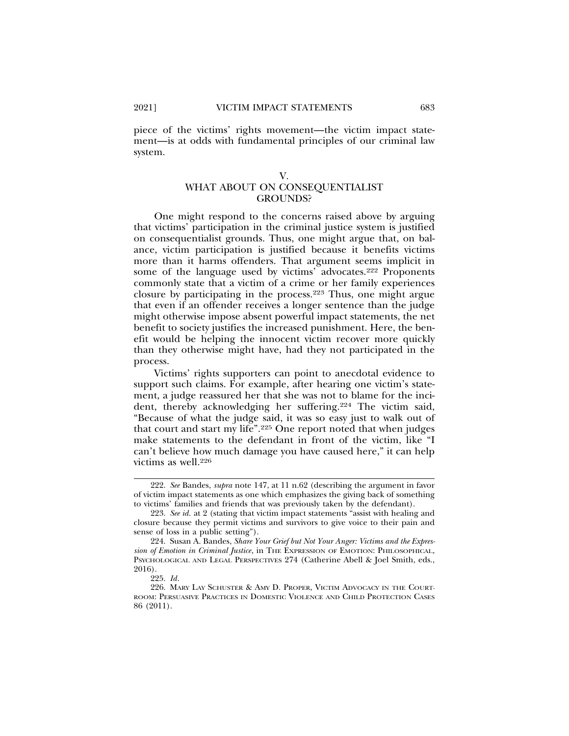piece of the victims' rights movement—the victim impact statement—is at odds with fundamental principles of our criminal law system.

## V. WHAT ABOUT ON CONSEQUENTIALIST GROUNDS?

One might respond to the concerns raised above by arguing that victims' participation in the criminal justice system is justified on consequentialist grounds. Thus, one might argue that, on balance, victim participation is justified because it benefits victims more than it harms offenders. That argument seems implicit in some of the language used by victims' advocates.<sup>222</sup> Proponents commonly state that a victim of a crime or her family experiences closure by participating in the process.223 Thus, one might argue that even if an offender receives a longer sentence than the judge might otherwise impose absent powerful impact statements, the net benefit to society justifies the increased punishment. Here, the benefit would be helping the innocent victim recover more quickly than they otherwise might have, had they not participated in the process.

Victims' rights supporters can point to anecdotal evidence to support such claims. For example, after hearing one victim's statement, a judge reassured her that she was not to blame for the incident, thereby acknowledging her suffering.224 The victim said, "Because of what the judge said, it was so easy just to walk out of that court and start my life".225 One report noted that when judges make statements to the defendant in front of the victim, like "I can't believe how much damage you have caused here," it can help victims as well.226

<sup>222.</sup> *See* Bandes, *supra* note 147, at 11 n.62 (describing the argument in favor of victim impact statements as one which emphasizes the giving back of something to victims' families and friends that was previously taken by the defendant).

<sup>223.</sup> *See id.* at 2 (stating that victim impact statements "assist with healing and closure because they permit victims and survivors to give voice to their pain and sense of loss in a public setting").

<sup>224.</sup> Susan A. Bandes, *Share Your Grief but Not Your Anger: Victims and the Expression of Emotion in Criminal Justice*, in THE EXPRESSION OF EMOTION: PHILOSOPHICAL, PSYCHOLOGICAL AND LEGAL PERSPECTIVES 274 (Catherine Abell & Joel Smith, eds., 2016).

<sup>225.</sup> *Id*.

<sup>226.</sup> MARY LAY SCHUSTER & AMY D. PROPER, VICTIM ADVOCACY IN THE COURT-ROOM: PERSUASIVE PRACTICES IN DOMESTIC VIOLENCE AND CHILD PROTECTION CASES 86 (2011).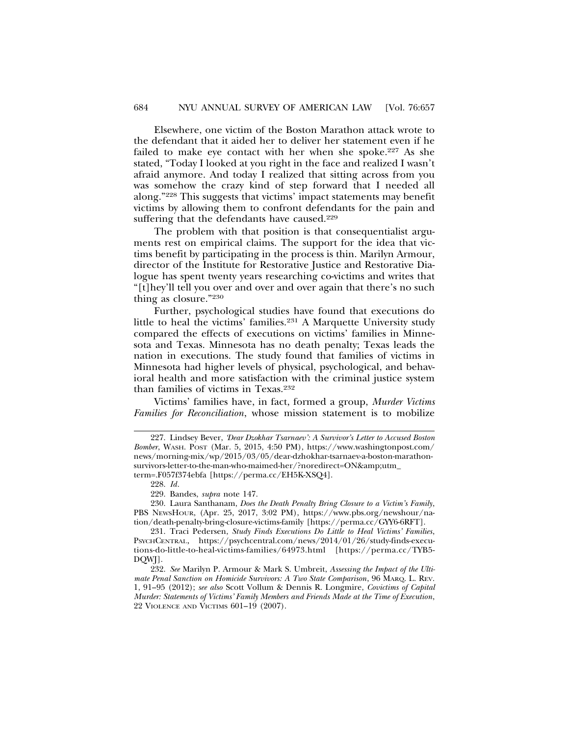Elsewhere, one victim of the Boston Marathon attack wrote to the defendant that it aided her to deliver her statement even if he failed to make eye contact with her when she spoke.<sup>227</sup> As she stated, "Today I looked at you right in the face and realized I wasn't afraid anymore. And today I realized that sitting across from you was somehow the crazy kind of step forward that I needed all along."228 This suggests that victims' impact statements may benefit victims by allowing them to confront defendants for the pain and suffering that the defendants have caused.<sup>229</sup>

The problem with that position is that consequentialist arguments rest on empirical claims. The support for the idea that victims benefit by participating in the process is thin. Marilyn Armour, director of the Institute for Restorative Justice and Restorative Dialogue has spent twenty years researching co-victims and writes that "[t]hey'll tell you over and over and over again that there's no such thing as closure."230

Further, psychological studies have found that executions do little to heal the victims' families.231 A Marquette University study compared the effects of executions on victims' families in Minnesota and Texas. Minnesota has no death penalty; Texas leads the nation in executions. The study found that families of victims in Minnesota had higher levels of physical, psychological, and behavioral health and more satisfaction with the criminal justice system than families of victims in Texas.232

Victims' families have, in fact, formed a group, *Murder Victims Families for Reconciliation*, whose mission statement is to mobilize

228. *Id*.

230. Laura Santhanam, *Does the Death Penalty Bring Closure to a Victim's Family*, PBS NEWSHOUR, (Apr. 25, 2017, 3:02 PM), https://www.pbs.org/newshour/nation/death-penalty-bring-closure-victims-family [https://perma.cc/GYY6-6RFT].

231. Traci Pedersen, *Study Finds Executions Do Little to Heal Victims' Families*, PSYCHCENTRAL, https://psychcentral.com/news/2014/01/26/study-finds-executions-do-little-to-heal-victims-families/64973.html [https://perma.cc/TYB5- DQWJ].

232. *See* Marilyn P. Armour & Mark S. Umbreit, *Assessing the Impact of the Ultimate Penal Sanction on Homicide Survivors: A Two State Comparison*, 96 MARQ. L. REV. 1, 91–95 (2012); *see also* Scott Vollum & Dennis R. Longmire, *Covictims of Capital Murder: Statements of Victims' Family Members and Friends Made at the Time of Execution*, 22 VIOLENCE AND VICTIMS 601–19 (2007).

<sup>227.</sup> Lindsey Bever, *'Dear Dzokhar Tsarnaev': A Survivor's Letter to Accused Boston Bomber*, WASH. POST (Mar. 5, 2015, 4:50 PM), https://www.washingtonpost.com/ news/morning-mix/wp/2015/03/05/dear-dzhokhar-tsarnaev-a-boston-marathonsurvivors-letter-to-the-man-who-maimed-her/?noredirect=ON&utm\_ term=.F057f374ebfa [https://perma.cc/EH5K-XSQ4].

<sup>229.</sup> Bandes, *supra* note 147.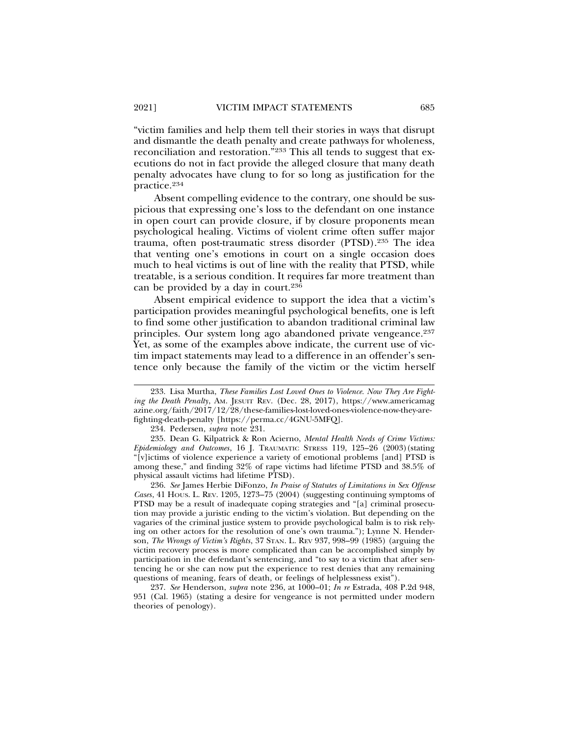"victim families and help them tell their stories in ways that disrupt and dismantle the death penalty and create pathways for wholeness, reconciliation and restoration."233 This all tends to suggest that executions do not in fact provide the alleged closure that many death penalty advocates have clung to for so long as justification for the practice.234

Absent compelling evidence to the contrary, one should be suspicious that expressing one's loss to the defendant on one instance in open court can provide closure, if by closure proponents mean psychological healing. Victims of violent crime often suffer major trauma, often post-traumatic stress disorder (PTSD).235 The idea that venting one's emotions in court on a single occasion does much to heal victims is out of line with the reality that PTSD, while treatable, is a serious condition. It requires far more treatment than can be provided by a day in court.236

Absent empirical evidence to support the idea that a victim's participation provides meaningful psychological benefits, one is left to find some other justification to abandon traditional criminal law principles. Our system long ago abandoned private vengeance.<sup>237</sup> Yet, as some of the examples above indicate, the current use of victim impact statements may lead to a difference in an offender's sentence only because the family of the victim or the victim herself

234. Pedersen, *supra* note 231.

235. Dean G. Kilpatrick & Ron Acierno, *Mental Health Needs of Crime Victims: Epidemiology and Outcomes*, 16 J. TRAUMATIC STRESS 119, 125–26 (2003)(stating "[v]ictims of violence experience a variety of emotional problems [and] PTSD is among these," and finding 32% of rape victims had lifetime PTSD and 38.5% of physical assault victims had lifetime PTSD).

236. *See* James Herbie DiFonzo, *In Praise of Statutes of Limitations in Sex Offense Cases*, 41 HOUS. L. REV. 1205, 1273–75 (2004) (suggesting continuing symptoms of PTSD may be a result of inadequate coping strategies and "[a] criminal prosecution may provide a juristic ending to the victim's violation. But depending on the vagaries of the criminal justice system to provide psychological balm is to risk relying on other actors for the resolution of one's own trauma."); Lynne N. Henderson, *The Wrongs of Victim's Rights*, 37 STAN. L. REV 937, 998–99 (1985) (arguing the victim recovery process is more complicated than can be accomplished simply by participation in the defendant's sentencing, and "to say to a victim that after sentencing he or she can now put the experience to rest denies that any remaining questions of meaning, fears of death, or feelings of helplessness exist").

237. *See* Henderson, *supra* note 236, at 1000–01; *In re* Estrada, 408 P.2d 948, 951 (Cal. 1965) (stating a desire for vengeance is not permitted under modern theories of penology).

<sup>233.</sup> Lisa Murtha, *These Families Lost Loved Ones to Violence. Now They Are Fighting the Death Penalty*, AM. JESUIT REV. (Dec. 28, 2017), https://www.americamag azine.org/faith/2017/12/28/these-families-lost-loved-ones-violence-now-they-arefighting-death-penalty [https://perma.cc/4GNU-5MFQ].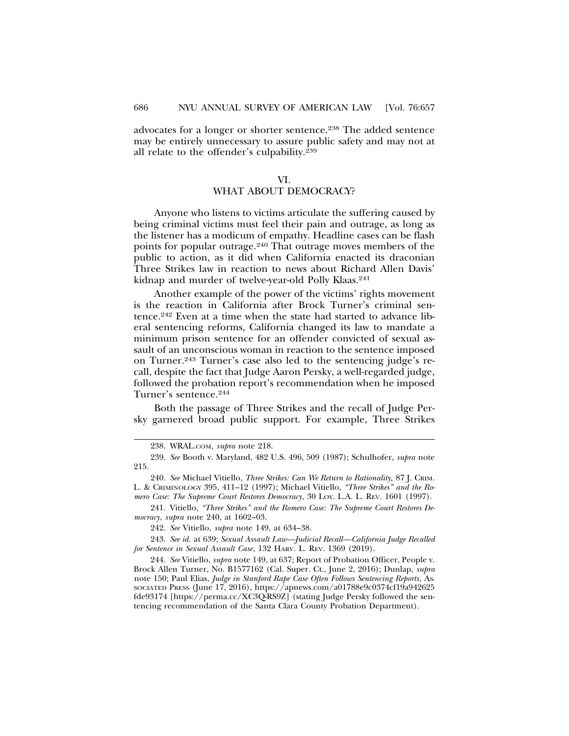advocates for a longer or shorter sentence.<sup>238</sup> The added sentence may be entirely unnecessary to assure public safety and may not at all relate to the offender's culpability.239

#### VI.

## WHAT ABOUT DEMOCRACY?

Anyone who listens to victims articulate the suffering caused by being criminal victims must feel their pain and outrage, as long as the listener has a modicum of empathy. Headline cases can be flash points for popular outrage.240 That outrage moves members of the public to action, as it did when California enacted its draconian Three Strikes law in reaction to news about Richard Allen Davis' kidnap and murder of twelve-year-old Polly Klaas.<sup>241</sup>

Another example of the power of the victims' rights movement is the reaction in California after Brock Turner's criminal sentence.242 Even at a time when the state had started to advance liberal sentencing reforms, California changed its law to mandate a minimum prison sentence for an offender convicted of sexual assault of an unconscious woman in reaction to the sentence imposed on Turner.243 Turner's case also led to the sentencing judge's recall, despite the fact that Judge Aaron Persky, a well-regarded judge, followed the probation report's recommendation when he imposed Turner's sentence.244

Both the passage of Three Strikes and the recall of Judge Persky garnered broad public support. For example, Three Strikes

241. Vitiello, *"Three Strikes" and the Romero Case: The Supreme Court Restores Democracy*, *supra* note 240, at 1602–03.

242. *See* Vitiello, *supra* note 149, at 634–38.

243. *See id.* at 639; *Sexual Assault Law—Judicial Recall—California Judge Recalled for Sentence in Sexual Assault Case*, 132 HARV. L. REV. 1369 (2019).

244. *See* Vitiello, *supra* note 149, at 637; Report of Probation Officer, People v. Brock Allen Turner, No. B1577162 (Cal. Super. Ct., June 2, 2016); Dunlap, *supra* note 150; Paul Elias, *Judge in Stanford Rape Case Often Follows Sentencing Reports*, AS-SOCIATED PRESS (June 17, 2016), https://apnews.com/a01788e9c0374cf19a942625 fde93174 [https://perma.cc/XC3Q-RS9Z] (stating Judge Persky followed the sentencing recommendation of the Santa Clara County Probation Department).

<sup>238.</sup> WRAL.COM*, supra* note 218.

<sup>239.</sup> *See* Booth v. Maryland, 482 U.S. 496, 509 (1987); Schulhofer, *supra* note 215.

<sup>240.</sup> *See* Michael Vitiello, *Three Strikes: Can We Return to Rationality,* 87 J. CRIM. L. & CRIMINOLOGY 395, 411–12 (1997); Michael Vitiello, *"Three Strikes" and the Romero Case: The Supreme Court Restores Democracy*, 30 LOY. L.A. L. REV. 1601 (1997).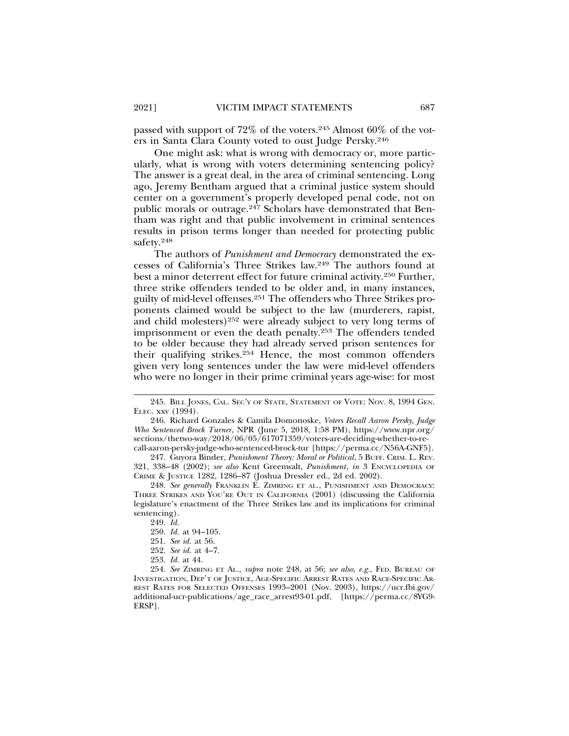passed with support of  $72\%$  of the voters.<sup>245</sup> Almost 60% of the voters in Santa Clara County voted to oust Judge Persky.246

One might ask: what is wrong with democracy or, more particularly, what is wrong with voters determining sentencing policy? The answer is a great deal, in the area of criminal sentencing. Long ago, Jeremy Bentham argued that a criminal justice system should center on a government's properly developed penal code, not on public morals or outrage.247 Scholars have demonstrated that Bentham was right and that public involvement in criminal sentences results in prison terms longer than needed for protecting public safety.248

The authors of *Punishment and Democracy* demonstrated the excesses of California's Three Strikes law.249 The authors found at best a minor deterrent effect for future criminal activity.250 Further, three strike offenders tended to be older and, in many instances, guilty of mid-level offenses.251 The offenders who Three Strikes proponents claimed would be subject to the law (murderers, rapist, and child molesters)252 were already subject to very long terms of imprisonment or even the death penalty.253 The offenders tended to be older because they had already served prison sentences for their qualifying strikes.254 Hence, the most common offenders given very long sentences under the law were mid-level offenders who were no longer in their prime criminal years age-wise: for most

<sup>245.</sup> BILL JONES, CAL. SEC'Y OF STATE, STATEMENT OF VOTE: NOV. 8, 1994 GEN. ELEC. xxv (1994).

<sup>246.</sup> Richard Gonzales & Camila Domonoske, *Voters Recall Aaron Persky, Judge Who Sentenced Brock Turner*, NPR (June 5, 2018, 1:58 PM), https://www.npr.org/ sections/thetwo-way/2018/06/05/617071359/voters-are-deciding-whether-to-recall-aaron-persky-judge-who-sentenced-brock-tur [https://perma.cc/N56A-GNF5].

<sup>247.</sup> Guyora Binder, *Punishment Theory: Moral or Political*, 5 BUFF. CRIM. L. REV. 321, 338–48 (2002); *see also* Kent Greenwalt, *Punishment*, *in* 3 ENCYCLOPEDIA OF CRIME & JUSTICE 1282, 1286–87 (Joshua Dressler ed., 2d ed. 2002).

<sup>248.</sup> *See generally* FRANKLIN E. ZIMRING ET AL., PUNISHMENT AND DEMOCRACY: THREE STRIKES AND YOU'RE OUT IN CALIFORNIA (2001) (discussing the California legislature's enactment of the Three Strikes law and its implications for criminal sentencing).

<sup>249.</sup> *Id.*

<sup>250.</sup> *Id.* at 94–105.

<sup>251.</sup> *See id.* at 56.

<sup>252.</sup> *See id.* at 4–7.

<sup>253.</sup> *Id.* at 44.

<sup>254.</sup> *See* ZIMRING ET AL., *supra* note 248, at 56; *see also, e.g.,* FED. BUREAU OF INVESTIGATION, DEP'T OF JUSTICE, AGE-SPECIFIC ARREST RATES AND RACE-SPECIFIC AR-REST RATES FOR SELECTED OFFENSES 1993–2001 (Nov. 2003), https://ucr.fbi.gov/ additional-ucr-publications/age\_race\_arrest93-01.pdf, [https://perma.cc/8YG9- ERSP].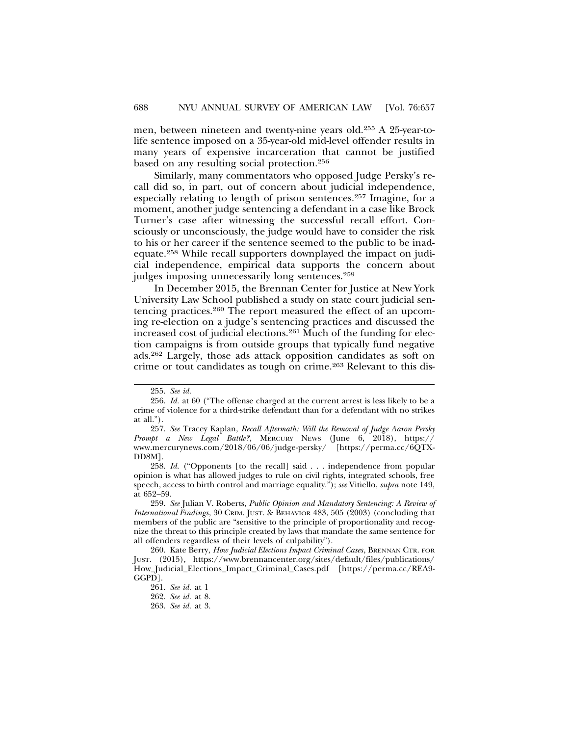men, between nineteen and twenty-nine years old.255 A 25-year-tolife sentence imposed on a 35-year-old mid-level offender results in many years of expensive incarceration that cannot be justified based on any resulting social protection.256

Similarly, many commentators who opposed Judge Persky's recall did so, in part, out of concern about judicial independence, especially relating to length of prison sentences.257 Imagine, for a moment, another judge sentencing a defendant in a case like Brock Turner's case after witnessing the successful recall effort. Consciously or unconsciously, the judge would have to consider the risk to his or her career if the sentence seemed to the public to be inadequate.258 While recall supporters downplayed the impact on judicial independence, empirical data supports the concern about judges imposing unnecessarily long sentences.259

In December 2015, the Brennan Center for Justice at New York University Law School published a study on state court judicial sentencing practices.260 The report measured the effect of an upcoming re-election on a judge's sentencing practices and discussed the increased cost of judicial elections.261 Much of the funding for election campaigns is from outside groups that typically fund negative ads.262 Largely, those ads attack opposition candidates as soft on crime or tout candidates as tough on crime.263 Relevant to this dis-

258. *Id.* ("Opponents [to the recall] said . . . independence from popular opinion is what has allowed judges to rule on civil rights, integrated schools, free speech, access to birth control and marriage equality."); *see* Vitiello, *supra* note 149, at 652–59.

259. *See* Julian V. Roberts, *Public Opinion and Mandatory Sentencing: A Review of International Findings*, 30 CRIM. JUST. & BEHAVIOR 483, 505 (2003) (concluding that members of the public are "sensitive to the principle of proportionality and recognize the threat to this principle created by laws that mandate the same sentence for all offenders regardless of their levels of culpability").

<sup>255.</sup> *See id.*

<sup>256.</sup> *Id.* at 60 ("The offense charged at the current arrest is less likely to be a crime of violence for a third-strike defendant than for a defendant with no strikes at all.").

<sup>257.</sup> *See* Tracey Kaplan, *Recall Aftermath: Will the Removal of Judge Aaron Persky Prompt a New Legal Battle?*, MERCURY NEWS (June 6, 2018), https:// www.mercurynews.com/2018/06/06/judge-persky/ [https://perma.cc/6QTX-DD8M].

<sup>260.</sup> Kate Berry, *How Judicial Elections Impact Criminal Cases*, BRENNAN CTR. FOR JUST. (2015), https://www.brennancenter.org/sites/default/files/publications/ How\_Judicial\_Elections\_Impact\_Criminal\_Cases.pdf [https://perma.cc/REA9- GGPD].

<sup>261.</sup> *See id.* at 1

<sup>262.</sup> *See id.* at 8.

<sup>263.</sup> *See id.* at 3.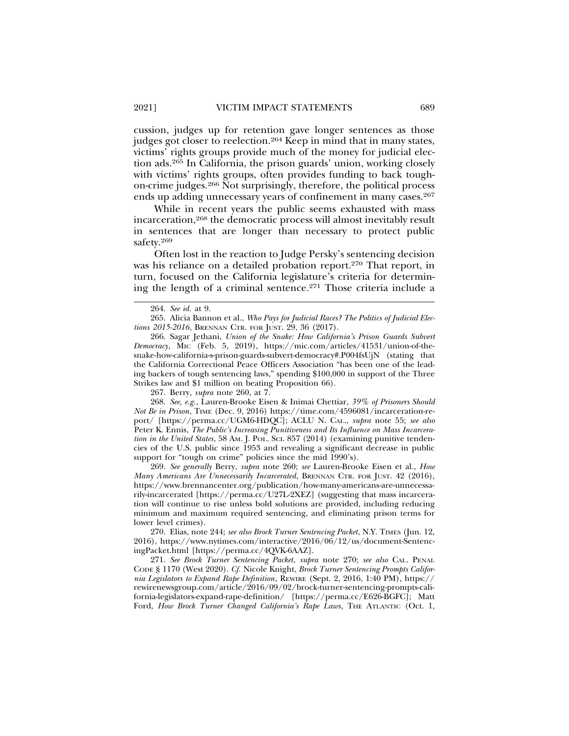cussion, judges up for retention gave longer sentences as those judges got closer to reelection.<sup>264</sup> Keep in mind that in many states, victims' rights groups provide much of the money for judicial election ads.265 In California, the prison guards' union, working closely with victims' rights groups, often provides funding to back toughon-crime judges.266 Not surprisingly, therefore, the political process ends up adding unnecessary years of confinement in many cases.<sup>267</sup>

While in recent years the public seems exhausted with mass incarceration,268 the democratic process will almost inevitably result in sentences that are longer than necessary to protect public safety.269

Often lost in the reaction to Judge Persky's sentencing decision was his reliance on a detailed probation report.<sup>270</sup> That report, in turn, focused on the California legislature's criteria for determining the length of a criminal sentence.271 Those criteria include a

266. Sagar Jethani, *Union of the Snake: How California's Prison Guards Subvert Democracy*, MIC (Feb. 5, 2019), https://mic.com/articles/41531/union-of-thesnake-how-california-s-prison-guards-subvert-democracy#.P004fsUjN (stating that the California Correctional Peace Officers Association "has been one of the leading backers of tough sentencing laws," spending \$100,000 in support of the Three Strikes law and \$1 million on beating Proposition 66).

267. Berry, *supra* note 260, at 7.

268. *See, e.g.*, Lauren-Brooke Eisen & Inimai Chettiar, *39% of Prisoners Should Not Be in Prison*, TIME (Dec. 9, 2016) https://time.com/4596081/incarceration-report/ [https://perma.cc/UGM6-HDQC]; ACLU N. CAL., *supra* note 55; *see also* Peter K. Ennis, *The Public's Increasing Punitiveness and Its Influence on Mass Incarceration in the United States*, 58 AM. J. POL. SCI. 857 (2014) (examining punitive tendencies of the U.S. public since 1953 and revealing a significant decrease in public support for "tough on crime" policies since the mid 1990's).

269. *See generally* Berry, *supra* note 260; *see* Lauren-Brooke Eisen et al., *How Many Americans Are Unnecessarily Incarcerated*, BRENNAN CTR. FOR JUST. 42 (2016), https://www.brennancenter.org/publication/how-many-americans-are-unnecessarily-incarcerated [https://perma.cc/U27L-2XEZ] (suggesting that mass incarceration will continue to rise unless bold solutions are provided, including reducing minimum and maximum required sentencing, and eliminating prison terms for lower level crimes).

270. Elias, note 244; *see also Brock Turner Sentencing Packet*, N.Y. TIMES (Jun. 12, 2016), https://www.nytimes.com/interactive/2016/06/12/us/document-SentencingPacket.html [https://perma.cc/4QVK-6AAZ].

271. *See Brock Turner Sentencing Packet*, *supra* note 270; *see also* CAL. PENAL CODE § 1170 (West 2020). *Cf.* Nicole Knight, *Brock Turner Sentencing Prompts California Legislators to Expand Rape Definition*, REWIRE (Sept. 2, 2016, 1:40 PM), https:// rewirenewsgroup.com/article/2016/09/02/brock-turner-sentencing-prompts-california-legislators-expand-rape-definition/ [https://perma.cc/E626-BGFC]; Matt Ford, *How Brock Turner Changed California's Rape Laws*, THE ATLANTIC (Oct. 1,

<sup>264.</sup> *See id.* at 9.

<sup>265.</sup> Alicia Bannon et al., *Who Pays for Judicial Races? The Politics of Judicial Elections 2015-2016*, BRENNAN CTR. FOR JUST. 29, 36 (2017).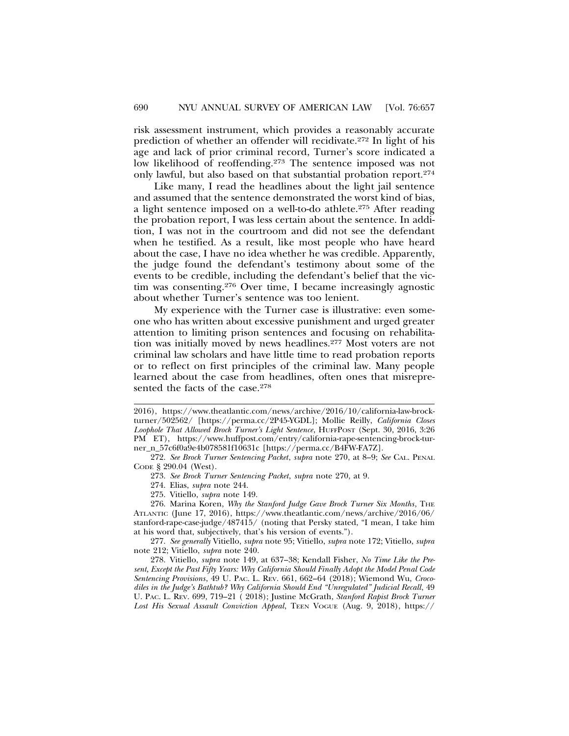risk assessment instrument, which provides a reasonably accurate prediction of whether an offender will recidivate.272 In light of his age and lack of prior criminal record, Turner's score indicated a low likelihood of reoffending.<sup>273</sup> The sentence imposed was not only lawful, but also based on that substantial probation report.274

Like many, I read the headlines about the light jail sentence and assumed that the sentence demonstrated the worst kind of bias, a light sentence imposed on a well-to-do athlete.275 After reading the probation report, I was less certain about the sentence. In addition, I was not in the courtroom and did not see the defendant when he testified. As a result, like most people who have heard about the case, I have no idea whether he was credible. Apparently, the judge found the defendant's testimony about some of the events to be credible, including the defendant's belief that the victim was consenting.276 Over time, I became increasingly agnostic about whether Turner's sentence was too lenient.

My experience with the Turner case is illustrative: even someone who has written about excessive punishment and urged greater attention to limiting prison sentences and focusing on rehabilitation was initially moved by news headlines.277 Most voters are not criminal law scholars and have little time to read probation reports or to reflect on first principles of the criminal law. Many people learned about the case from headlines, often ones that misrepresented the facts of the case.278

<sup>2016),</sup> https://www.theatlantic.com/news/archive/2016/10/california-law-brockturner/502562/ [https://perma.cc/2P45-YGDL]; Mollie Reilly, *California Closes Loophole That Allowed Brock Turner's Light Sentence*, HUFFPOST (Sept. 30, 2016, 3:26 PM ET), https://www.huffpost.com/entry/california-rape-sentencing-brock-turner\_n\_57c6f0a9e4b078581f10631c [https://perma.cc/B4FW-FA7Z].

<sup>272.</sup> *See Brock Turner Sentencing Packet*, *supra* note 270, at 8–9; *See* CAL. PENAL CODE § 290.04 (West).

<sup>273.</sup> *See Brock Turner Sentencing Packet*, *supra* note 270, at 9.

<sup>274.</sup> Elias, *supra* note 244.

<sup>275.</sup> Vitiello, *supra* note 149.

<sup>276.</sup> Marina Koren, *Why the Stanford Judge Gave Brock Turner Six Months*, THE ATLANTIC (June 17, 2016), https://www.theatlantic.com/news/archive/2016/06/ stanford-rape-case-judge/487415/ (noting that Persky stated, "I mean, I take him at his word that, subjectively, that's his version of events.").

<sup>277.</sup> *See generally* Vitiello, *supra* note 95; Vitiello, *supra* note 172; Vitiello, *supra* note 212; Vitiello, *supra* note 240.

<sup>278.</sup> Vitiello, *supra* note 149, at 637–38; Kendall Fisher, *No Time Like the Present, Except the Past Fifty Years: Why California Should Finally Adopt the Model Penal Code Sentencing Provisions*, 49 U. PAC. L. REV. 661, 662–64 (2018); Wiemond Wu, *Crocodiles in the Judge's Bathtub? Why California Should End "Unregulated" Judicial Recall*, 49 U. PAC. L. REV. 699, 719–21 ( 2018); Justine McGrath, *Stanford Rapist Brock Turner Lost His Sexual Assault Conviction Appeal*, TEEN VOGUE (Aug. 9, 2018), https://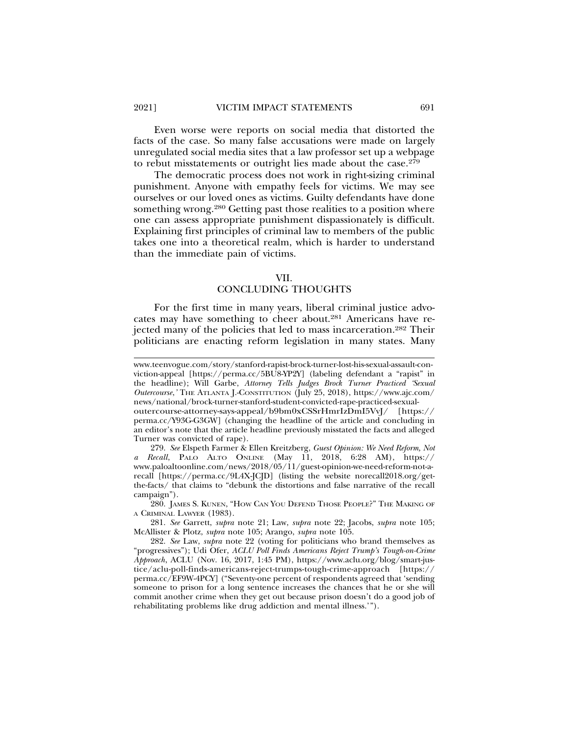Even worse were reports on social media that distorted the facts of the case. So many false accusations were made on largely unregulated social media sites that a law professor set up a webpage to rebut misstatements or outright lies made about the case.279

The democratic process does not work in right-sizing criminal punishment. Anyone with empathy feels for victims. We may see ourselves or our loved ones as victims. Guilty defendants have done something wrong.<sup>280</sup> Getting past those realities to a position where one can assess appropriate punishment dispassionately is difficult. Explaining first principles of criminal law to members of the public takes one into a theoretical realm, which is harder to understand than the immediate pain of victims.

#### VII.

### CONCLUDING THOUGHTS

For the first time in many years, liberal criminal justice advocates may have something to cheer about.281 Americans have rejected many of the policies that led to mass incarceration.282 Their politicians are enacting reform legislation in many states. Many

280. JAMES S. KUNEN, "HOW CAN YOU DEFEND THOSE PEOPLE?" THE MAKING OF A CRIMINAL LAWYER (1983).

281. *See* Garrett, *supra* note 21; Law, *supra* note 22; Jacobs, *supra* note 105; McAllister & Plotz, *supra* note 105; Arango, *supra* note 105.

www.teenvogue.com/story/stanford-rapist-brock-turner-lost-his-sexual-assault-conviction-appeal [https://perma.cc/5BU8-YP2Y] (labeling defendant a "rapist" in the headline); Will Garbe, *Attorney Tells Judges Brock Turner Practiced 'Sexual Outercourse*,*'* THE ATLANTA J.-CONSTITUTION (July 25, 2018), https://www.ajc.com/ news/national/brock-turner-stanford-student-convicted-rape-practiced-sexual-

outercourse-attorney-says-appeal/b9bm0xCSSrHmrIzDmI5VvJ/ [https:// perma.cc/Y93G-G3GW] (changing the headline of the article and concluding in an editor's note that the article headline previously misstated the facts and alleged Turner was convicted of rape).

<sup>279.</sup> *See* Elspeth Farmer & Ellen Kreitzberg, *Guest Opinion: We Need Reform, Not a Recall*, PALO ALTO ONLINE (May 11, 2018, 6:28 AM), https:// www.paloaltoonline.com/news/2018/05/11/guest-opinion-we-need-reform-not-arecall [https://perma.cc/9L4X-JCJD] (listing the website norecall2018.org/getthe-facts/ that claims to "debunk the distortions and false narrative of the recall campaign").

<sup>282.</sup> *See* Law, *supra* note 22 (voting for politicians who brand themselves as "progressives"); Udi Ofer, *ACLU Poll Finds Americans Reject Trump's Tough-on-Crime Approach*, ACLU (Nov. 16, 2017, 1:45 PM), https://www.aclu.org/blog/smart-justice/aclu-poll-finds-americans-reject-trumps-tough-crime-approach [https:// perma.cc/EF9W-4PCY] ("Seventy-one percent of respondents agreed that 'sending someone to prison for a long sentence increases the chances that he or she will commit another crime when they get out because prison doesn't do a good job of rehabilitating problems like drug addiction and mental illness.'").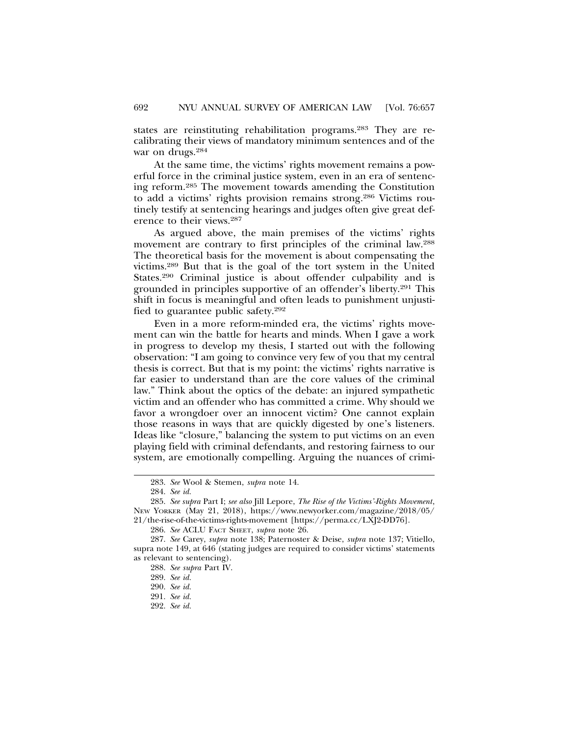states are reinstituting rehabilitation programs.283 They are recalibrating their views of mandatory minimum sentences and of the war on drugs.284

At the same time, the victims' rights movement remains a powerful force in the criminal justice system, even in an era of sentencing reform.285 The movement towards amending the Constitution to add a victims' rights provision remains strong.286 Victims routinely testify at sentencing hearings and judges often give great deference to their views.287

As argued above, the main premises of the victims' rights movement are contrary to first principles of the criminal law.288 The theoretical basis for the movement is about compensating the victims.289 But that is the goal of the tort system in the United States.290 Criminal justice is about offender culpability and is grounded in principles supportive of an offender's liberty.291 This shift in focus is meaningful and often leads to punishment unjustified to guarantee public safety.292

Even in a more reform-minded era, the victims' rights movement can win the battle for hearts and minds. When I gave a work in progress to develop my thesis, I started out with the following observation: "I am going to convince very few of you that my central thesis is correct. But that is my point: the victims' rights narrative is far easier to understand than are the core values of the criminal law." Think about the optics of the debate: an injured sympathetic victim and an offender who has committed a crime. Why should we favor a wrongdoer over an innocent victim? One cannot explain those reasons in ways that are quickly digested by one's listeners. Ideas like "closure," balancing the system to put victims on an even playing field with criminal defendants, and restoring fairness to our system, are emotionally compelling. Arguing the nuances of crimi-

<sup>283.</sup> *See* Wool & Stemen, *supra* note 14.

<sup>284.</sup> *See id.*

<sup>285.</sup> *See supra* Part I; *see also* Jill Lepore, *The Rise of the Victims'-Rights Movement*, NEW YORKER (May 21, 2018), https://www.newyorker.com/magazine/2018/05/ 21/the-rise-of-the-victims-rights-movement [https://perma.cc/LXJ2-DD76].

<sup>286.</sup> *See* ACLU FACT SHEET, *supra* note 26.

<sup>287.</sup> *See* Carey, *supra* note 138; Paternoster & Deise, *supra* note 137; Vitiello, supra note 149, at 646 (stating judges are required to consider victims' statements as relevant to sentencing).

<sup>288.</sup> *See supra* Part IV.

<sup>289.</sup> *See id.*

<sup>290.</sup> *See id.*

<sup>291.</sup> *See id.*

<sup>292.</sup> *See id.*